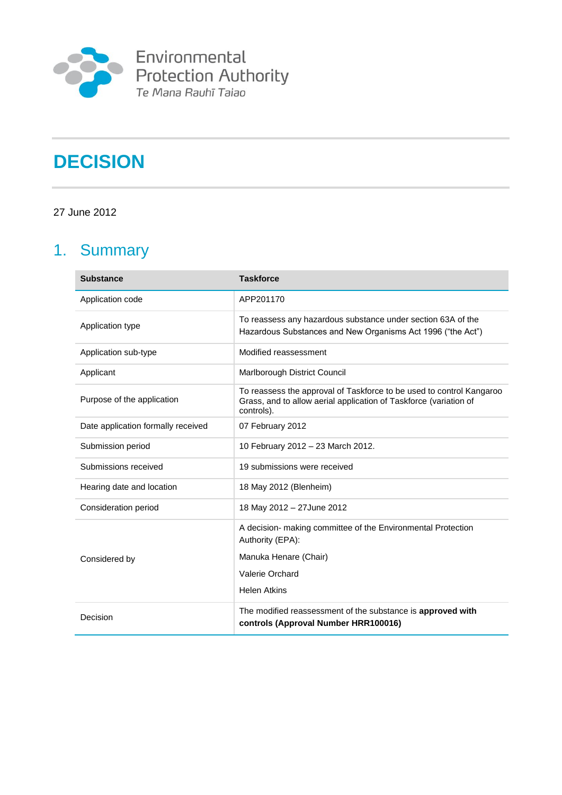

# **DECISION**

27 June 2012

# 1. Summary

| <b>Substance</b>                   | <b>Taskforce</b>                                                                                                                                        |
|------------------------------------|---------------------------------------------------------------------------------------------------------------------------------------------------------|
| Application code                   | APP201170                                                                                                                                               |
| Application type                   | To reassess any hazardous substance under section 63A of the<br>Hazardous Substances and New Organisms Act 1996 ("the Act")                             |
| Application sub-type               | Modified reassessment                                                                                                                                   |
| Applicant                          | Marlborough District Council                                                                                                                            |
| Purpose of the application         | To reassess the approval of Taskforce to be used to control Kangaroo<br>Grass, and to allow aerial application of Taskforce (variation of<br>controls). |
| Date application formally received | 07 February 2012                                                                                                                                        |
| Submission period                  | 10 February 2012 - 23 March 2012.                                                                                                                       |
| Submissions received               | 19 submissions were received                                                                                                                            |
| Hearing date and location          | 18 May 2012 (Blenheim)                                                                                                                                  |
| Consideration period               | 18 May 2012 - 27 June 2012                                                                                                                              |
|                                    | A decision- making committee of the Environmental Protection<br>Authority (EPA):                                                                        |
| Considered by                      | Manuka Henare (Chair)                                                                                                                                   |
|                                    | Valerie Orchard                                                                                                                                         |
|                                    | <b>Helen Atkins</b>                                                                                                                                     |
| Decision                           | The modified reassessment of the substance is approved with<br>controls (Approval Number HRR100016)                                                     |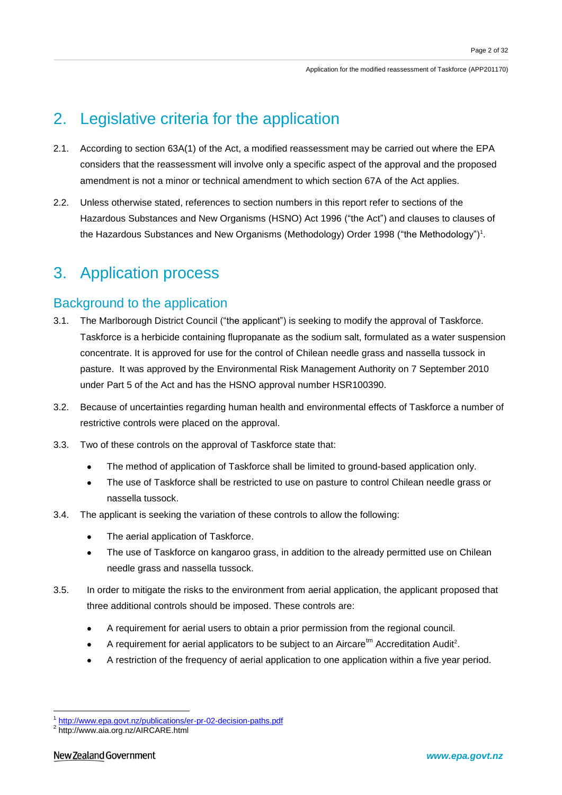## 2. Legislative criteria for the application

- 2.1. According to section 63A(1) of the Act, a modified reassessment may be carried out where the EPA considers that the reassessment will involve only a specific aspect of the approval and the proposed amendment is not a minor or technical amendment to which section 67A of the Act applies.
- 2.2. Unless otherwise stated, references to section numbers in this report refer to sections of the Hazardous Substances and New Organisms (HSNO) Act 1996 ("the Act") and clauses to clauses of the Hazardous Substances and New Organisms (Methodology) Order 1998 ("the Methodology")<sup>1</sup>.

## 3. Application process

## Background to the application

- 3.1. The Marlborough District Council ("the applicant") is seeking to modify the approval of Taskforce. Taskforce is a herbicide containing flupropanate as the sodium salt, formulated as a water suspension concentrate. It is approved for use for the control of Chilean needle grass and nassella tussock in pasture. It was approved by the Environmental Risk Management Authority on 7 September 2010 under Part 5 of the Act and has the HSNO approval number HSR100390.
- 3.2. Because of uncertainties regarding human health and environmental effects of Taskforce a number of restrictive controls were placed on the approval.
- 3.3. Two of these controls on the approval of Taskforce state that:
	- The method of application of Taskforce shall be limited to ground-based application only.  $\bullet$
	- The use of Taskforce shall be restricted to use on pasture to control Chilean needle grass or nassella tussock.
- 3.4. The applicant is seeking the variation of these controls to allow the following:
	- The aerial application of Taskforce.  $\bullet$
	- The use of Taskforce on kangaroo grass, in addition to the already permitted use on Chilean needle grass and nassella tussock.
- 3.5. In order to mitigate the risks to the environment from aerial application, the applicant proposed that three additional controls should be imposed. These controls are:
	- A requirement for aerial users to obtain a prior permission from the regional council.
	- A requirement for aerial applicators to be subject to an Aircare $<sup>tm</sup>$  Accreditation Audit<sup>2</sup>.</sup>
	- A restriction of the frequency of aerial application to one application within a five year period.

<u>.</u>

<sup>&</sup>lt;sup>1</sup> <http://www.epa.govt.nz/publications/er-pr-02-decision-paths.pdf>

<sup>&</sup>lt;sup>2</sup> http://www.aia.org.nz/AIRCARE.html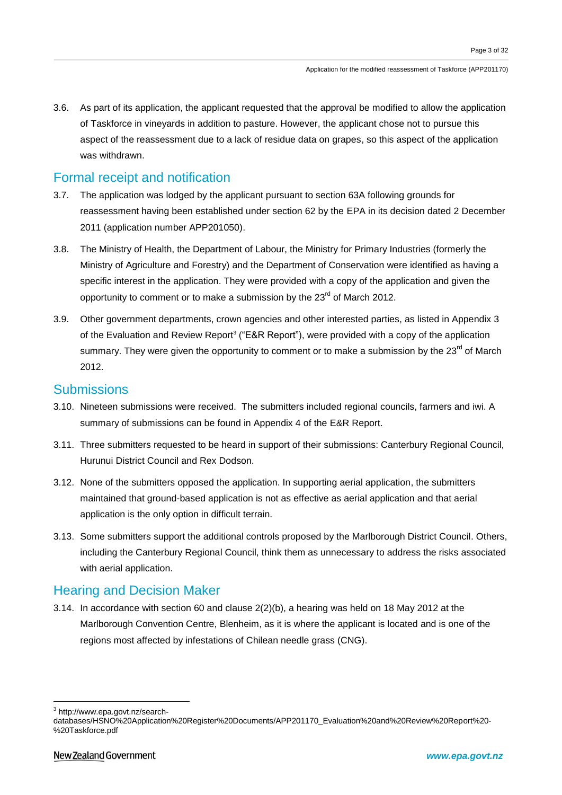3.6. As part of its application, the applicant requested that the approval be modified to allow the application of Taskforce in vineyards in addition to pasture. However, the applicant chose not to pursue this aspect of the reassessment due to a lack of residue data on grapes, so this aspect of the application was withdrawn.

## Formal receipt and notification

- 3.7. The application was lodged by the applicant pursuant to section 63A following grounds for reassessment having been established under section 62 by the EPA in its decision dated 2 December 2011 (application number APP201050).
- 3.8. The Ministry of Health, the Department of Labour, the Ministry for Primary Industries (formerly the Ministry of Agriculture and Forestry) and the Department of Conservation were identified as having a specific interest in the application. They were provided with a copy of the application and given the opportunity to comment or to make a submission by the 23<sup>rd</sup> of March 2012.
- 3.9. Other government departments, crown agencies and other interested parties, as listed in Appendix 3 of the Evaluation and Review Report<sup>3</sup> ("E&R Report"), were provided with a copy of the application summary. They were given the opportunity to comment or to make a submission by the 23<sup>rd</sup> of March 2012.

## **Submissions**

- 3.10. Nineteen submissions were received. The submitters included regional councils, farmers and iwi. A summary of submissions can be found in Appendix 4 of the E&R Report.
- 3.11. Three submitters requested to be heard in support of their submissions: Canterbury Regional Council, Hurunui District Council and Rex Dodson.
- 3.12. None of the submitters opposed the application. In supporting aerial application, the submitters maintained that ground-based application is not as effective as aerial application and that aerial application is the only option in difficult terrain.
- 3.13. Some submitters support the additional controls proposed by the Marlborough District Council. Others, including the Canterbury Regional Council, think them as unnecessary to address the risks associated with aerial application.

## Hearing and Decision Maker

3.14. In accordance with section 60 and clause 2(2)(b), a hearing was held on 18 May 2012 at the Marlborough Convention Centre, Blenheim, as it is where the applicant is located and is one of the regions most affected by infestations of Chilean needle grass (CNG).

<u>.</u>

<sup>3</sup> http://www.epa.govt.nz/search-

databases/HSNO%20Application%20Register%20Documents/APP201170\_Evaluation%20and%20Review%20Report%20- %20Taskforce.pdf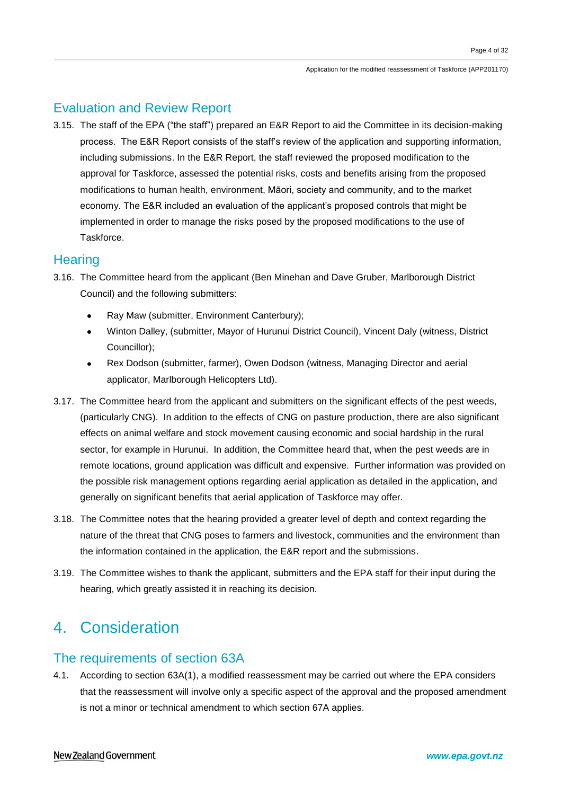## Evaluation and Review Report

3.15. The staff of the EPA ("the staff") prepared an E&R Report to aid the Committee in its decision-making process. The E&R Report consists of the staff's review of the application and supporting information, including submissions. In the E&R Report, the staff reviewed the proposed modification to the approval for Taskforce, assessed the potential risks, costs and benefits arising from the proposed modifications to human health, environment, Māori, society and community, and to the market economy. The E&R included an evaluation of the applicant's proposed controls that might be implemented in order to manage the risks posed by the proposed modifications to the use of Taskforce.

### **Hearing**

- 3.16. The Committee heard from the applicant (Ben Minehan and Dave Gruber, Marlborough District Council) and the following submitters:
	- Ray Maw (submitter, Environment Canterbury);
	- Winton Dalley, (submitter, Mayor of Hurunui District Council), Vincent Daly (witness, District Councillor);
	- Rex Dodson (submitter, farmer), Owen Dodson (witness, Managing Director and aerial applicator, Marlborough Helicopters Ltd).
- 3.17. The Committee heard from the applicant and submitters on the significant effects of the pest weeds, (particularly CNG). In addition to the effects of CNG on pasture production, there are also significant effects on animal welfare and stock movement causing economic and social hardship in the rural sector, for example in Hurunui. In addition, the Committee heard that, when the pest weeds are in remote locations, ground application was difficult and expensive. Further information was provided on the possible risk management options regarding aerial application as detailed in the application, and generally on significant benefits that aerial application of Taskforce may offer.
- 3.18. The Committee notes that the hearing provided a greater level of depth and context regarding the nature of the threat that CNG poses to farmers and livestock, communities and the environment than the information contained in the application, the E&R report and the submissions.
- 3.19. The Committee wishes to thank the applicant, submitters and the EPA staff for their input during the hearing, which greatly assisted it in reaching its decision.

## 4. Consideration

## The requirements of section 63A

4.1. According to section 63A(1), a modified reassessment may be carried out where the EPA considers that the reassessment will involve only a specific aspect of the approval and the proposed amendment is not a minor or technical amendment to which section 67A applies.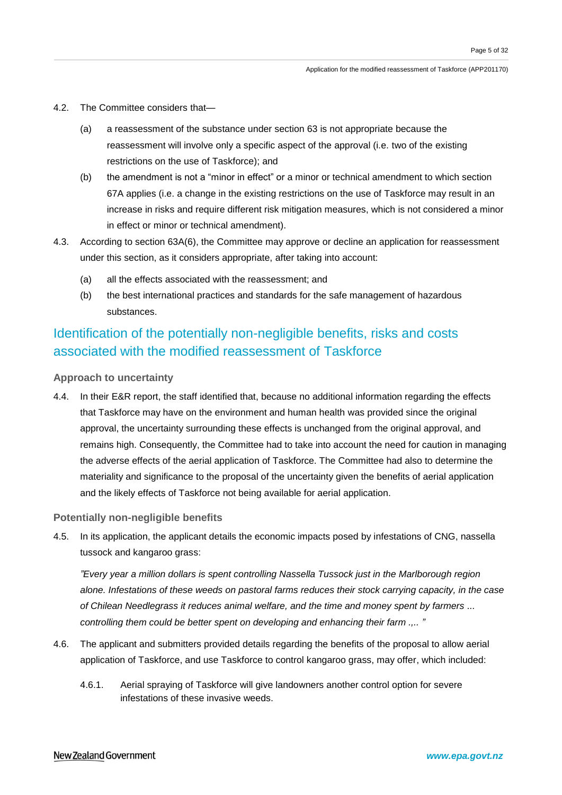- 4.2. The Committee considers that—
	- (a) a reassessment of the substance under section 63 is not appropriate because the reassessment will involve only a specific aspect of the approval (i.e. two of the existing restrictions on the use of Taskforce); and
	- (b) the amendment is not a "minor in effect" or a minor or technical amendment to which section 67A applies (i.e. a change in the existing restrictions on the use of Taskforce may result in an increase in risks and require different risk mitigation measures, which is not considered a minor in effect or minor or technical amendment).
- 4.3. According to section 63A(6), the Committee may approve or decline an application for reassessment under this section, as it considers appropriate, after taking into account:
	- (a) all the effects associated with the reassessment; and
	- (b) the best international practices and standards for the safe management of hazardous substances.

## Identification of the potentially non-negligible benefits, risks and costs associated with the modified reassessment of Taskforce

### **Approach to uncertainty**

4.4. In their E&R report, the staff identified that, because no additional information regarding the effects that Taskforce may have on the environment and human health was provided since the original approval, the uncertainty surrounding these effects is unchanged from the original approval, and remains high. Consequently, the Committee had to take into account the need for caution in managing the adverse effects of the aerial application of Taskforce. The Committee had also to determine the materiality and significance to the proposal of the uncertainty given the benefits of aerial application and the likely effects of Taskforce not being available for aerial application.

### **Potentially non-negligible benefits**

4.5. In its application, the applicant details the economic impacts posed by infestations of CNG, nassella tussock and kangaroo grass:

*"Every year a million dollars is spent controlling Nassella Tussock just in the Marlborough region alone. Infestations of these weeds on pastoral farms reduces their stock carrying capacity, in the case of Chilean Needlegrass it reduces animal welfare, and the time and money spent by farmers ... controlling them could be better spent on developing and enhancing their farm .,.. "*

- 4.6. The applicant and submitters provided details regarding the benefits of the proposal to allow aerial application of Taskforce, and use Taskforce to control kangaroo grass, may offer, which included:
	- 4.6.1. Aerial spraying of Taskforce will give landowners another control option for severe infestations of these invasive weeds.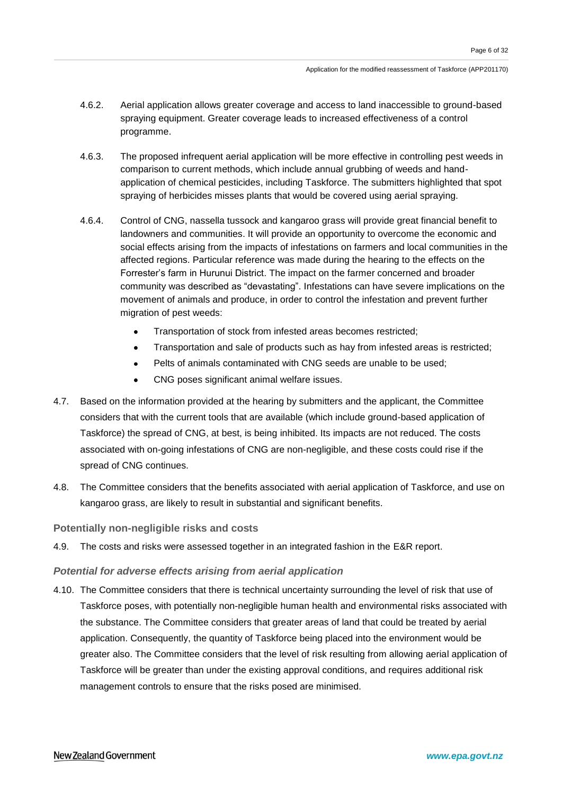- 4.6.2. Aerial application allows greater coverage and access to land inaccessible to ground-based spraying equipment. Greater coverage leads to increased effectiveness of a control programme.
- 4.6.3. The proposed infrequent aerial application will be more effective in controlling pest weeds in comparison to current methods, which include annual grubbing of weeds and handapplication of chemical pesticides, including Taskforce. The submitters highlighted that spot spraying of herbicides misses plants that would be covered using aerial spraying.
- 4.6.4. Control of CNG, nassella tussock and kangaroo grass will provide great financial benefit to landowners and communities. It will provide an opportunity to overcome the economic and social effects arising from the impacts of infestations on farmers and local communities in the affected regions. Particular reference was made during the hearing to the effects on the Forrester's farm in Hurunui District. The impact on the farmer concerned and broader community was described as "devastating". Infestations can have severe implications on the movement of animals and produce, in order to control the infestation and prevent further migration of pest weeds:
	- Transportation of stock from infested areas becomes restricted;
	- Transportation and sale of products such as hay from infested areas is restricted;
	- Pelts of animals contaminated with CNG seeds are unable to be used;
	- CNG poses significant animal welfare issues.
- 4.7. Based on the information provided at the hearing by submitters and the applicant, the Committee considers that with the current tools that are available (which include ground-based application of Taskforce) the spread of CNG, at best, is being inhibited. Its impacts are not reduced. The costs associated with on-going infestations of CNG are non-negligible, and these costs could rise if the spread of CNG continues.
- 4.8. The Committee considers that the benefits associated with aerial application of Taskforce, and use on kangaroo grass, are likely to result in substantial and significant benefits.

### **Potentially non-negligible risks and costs**

4.9. The costs and risks were assessed together in an integrated fashion in the E&R report.

### *Potential for adverse effects arising from aerial application*

4.10. The Committee considers that there is technical uncertainty surrounding the level of risk that use of Taskforce poses, with potentially non-negligible human health and environmental risks associated with the substance. The Committee considers that greater areas of land that could be treated by aerial application. Consequently, the quantity of Taskforce being placed into the environment would be greater also. The Committee considers that the level of risk resulting from allowing aerial application of Taskforce will be greater than under the existing approval conditions, and requires additional risk management controls to ensure that the risks posed are minimised.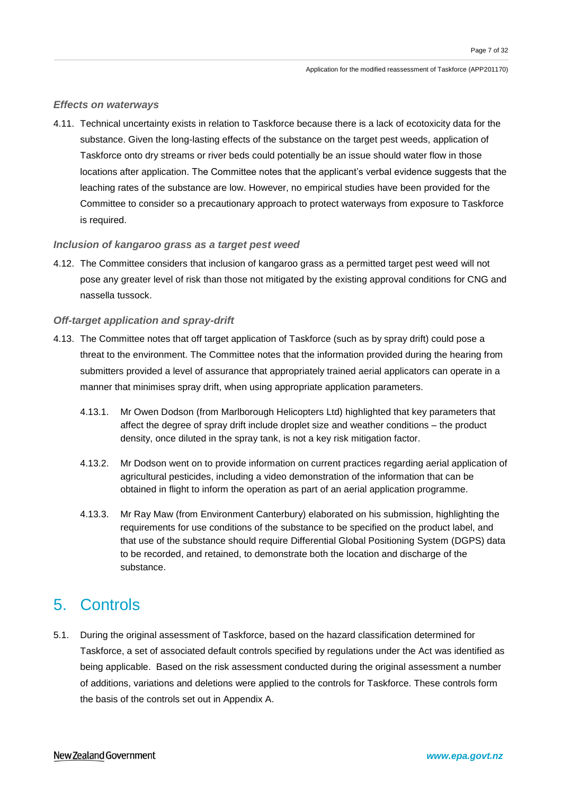### *Effects on waterways*

4.11. Technical uncertainty exists in relation to Taskforce because there is a lack of ecotoxicity data for the substance. Given the long-lasting effects of the substance on the target pest weeds, application of Taskforce onto dry streams or river beds could potentially be an issue should water flow in those locations after application. The Committee notes that the applicant's verbal evidence suggests that the leaching rates of the substance are low. However, no empirical studies have been provided for the Committee to consider so a precautionary approach to protect waterways from exposure to Taskforce is required.

### *Inclusion of kangaroo grass as a target pest weed*

4.12. The Committee considers that inclusion of kangaroo grass as a permitted target pest weed will not pose any greater level of risk than those not mitigated by the existing approval conditions for CNG and nassella tussock.

### *Off-target application and spray-drift*

- 4.13. The Committee notes that off target application of Taskforce (such as by spray drift) could pose a threat to the environment. The Committee notes that the information provided during the hearing from submitters provided a level of assurance that appropriately trained aerial applicators can operate in a manner that minimises spray drift, when using appropriate application parameters.
	- 4.13.1. Mr Owen Dodson (from Marlborough Helicopters Ltd) highlighted that key parameters that affect the degree of spray drift include droplet size and weather conditions – the product density, once diluted in the spray tank, is not a key risk mitigation factor.
	- 4.13.2. Mr Dodson went on to provide information on current practices regarding aerial application of agricultural pesticides, including a video demonstration of the information that can be obtained in flight to inform the operation as part of an aerial application programme.
	- 4.13.3. Mr Ray Maw (from Environment Canterbury) elaborated on his submission, highlighting the requirements for use conditions of the substance to be specified on the product label, and that use of the substance should require Differential Global Positioning System (DGPS) data to be recorded, and retained, to demonstrate both the location and discharge of the substance.

## 5. Controls

5.1. During the original assessment of Taskforce, based on the hazard classification determined for Taskforce, a set of associated default controls specified by regulations under the Act was identified as being applicable. Based on the risk assessment conducted during the original assessment a number of additions, variations and deletions were applied to the controls for Taskforce. These controls form the basis of the controls set out in Appendix A.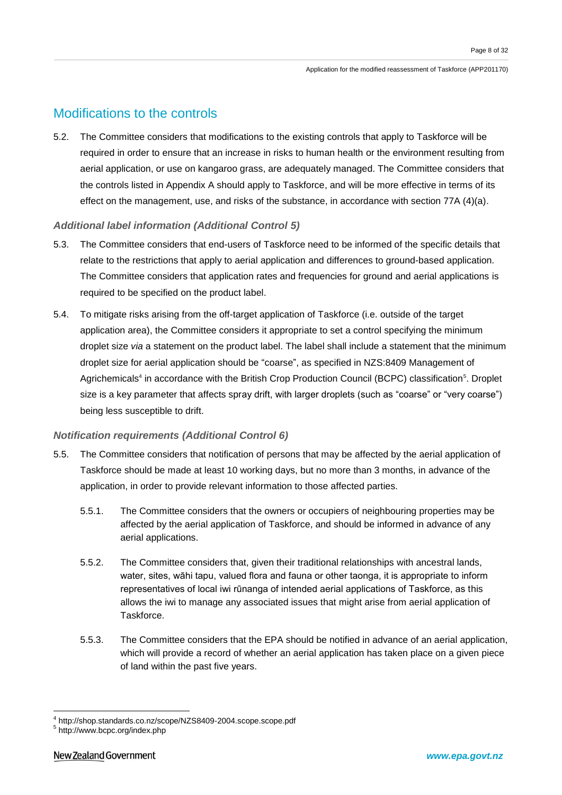## Modifications to the controls

5.2. The Committee considers that modifications to the existing controls that apply to Taskforce will be required in order to ensure that an increase in risks to human health or the environment resulting from aerial application, or use on kangaroo grass, are adequately managed. The Committee considers that the controls listed in Appendix A should apply to Taskforce, and will be more effective in terms of its effect on the management, use, and risks of the substance, in accordance with section 77A (4)(a).

### *Additional label information (Additional Control 5)*

- 5.3. The Committee considers that end-users of Taskforce need to be informed of the specific details that relate to the restrictions that apply to aerial application and differences to ground-based application. The Committee considers that application rates and frequencies for ground and aerial applications is required to be specified on the product label.
- 5.4. To mitigate risks arising from the off-target application of Taskforce (i.e. outside of the target application area), the Committee considers it appropriate to set a control specifying the minimum droplet size *via* a statement on the product label. The label shall include a statement that the minimum droplet size for aerial application should be "coarse", as specified in NZS:8409 Management of Agrichemicals<sup>4</sup> in accordance with the British Crop Production Council (BCPC) classification<sup>5</sup>. Droplet size is a key parameter that affects spray drift, with larger droplets (such as "coarse" or "very coarse") being less susceptible to drift.

### *Notification requirements (Additional Control 6)*

- 5.5. The Committee considers that notification of persons that may be affected by the aerial application of Taskforce should be made at least 10 working days, but no more than 3 months, in advance of the application, in order to provide relevant information to those affected parties.
	- 5.5.1. The Committee considers that the owners or occupiers of neighbouring properties may be affected by the aerial application of Taskforce, and should be informed in advance of any aerial applications.
	- 5.5.2. The Committee considers that, given their traditional relationships with ancestral lands, water, sites, wāhi tapu, valued flora and fauna or other taonga, it is appropriate to inform representatives of local iwi rūnanga of intended aerial applications of Taskforce, as this allows the iwi to manage any associated issues that might arise from aerial application of Taskforce.
	- 5.5.3. The Committee considers that the EPA should be notified in advance of an aerial application, which will provide a record of whether an aerial application has taken place on a given piece of land within the past five years.

<u>.</u>

<sup>4</sup> http://shop.standards.co.nz/scope/NZS8409-2004.scope.scope.pdf

<sup>5</sup> http://www.bcpc.org/index.php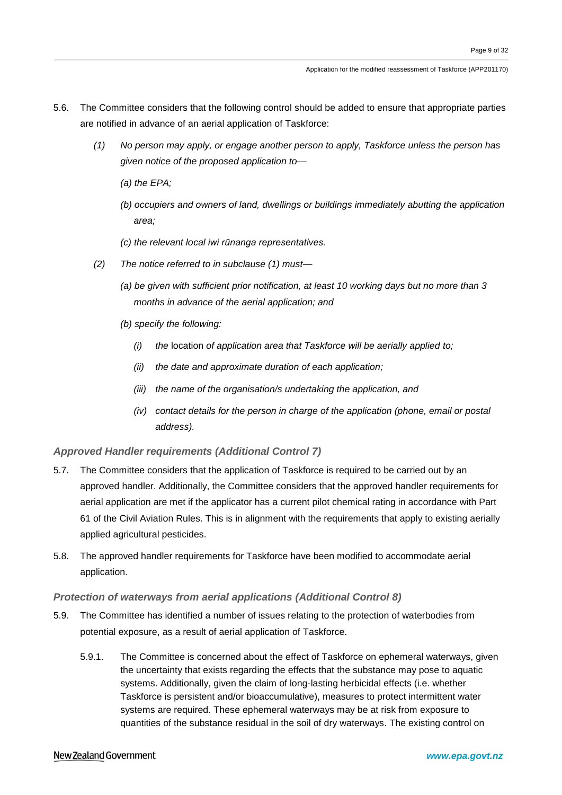- 5.6. The Committee considers that the following control should be added to ensure that appropriate parties are notified in advance of an aerial application of Taskforce:
	- *(1) No person may apply, or engage another person to apply, Taskforce unless the person has given notice of the proposed application to—*
		- *(a) the EPA;*
		- *(b) occupiers and owners of land, dwellings or buildings immediately abutting the application area;*
		- *(c) the relevant local iwi rūnanga representatives.*
	- *(2) The notice referred to in subclause (1) must—*
		- *(a) be given with sufficient prior notification, at least 10 working days but no more than 3 months in advance of the aerial application; and*
		- *(b) specify the following:*
			- *(i) the* location *of application area that Taskforce will be aerially applied to;*
			- *(ii) the date and approximate duration of each application;*
			- *(iii) the name of the organisation/s undertaking the application, and*
			- *(iv) contact details for the person in charge of the application (phone, email or postal address).*

### *Approved Handler requirements (Additional Control 7)*

- 5.7. The Committee considers that the application of Taskforce is required to be carried out by an approved handler. Additionally, the Committee considers that the approved handler requirements for aerial application are met if the applicator has a current pilot chemical rating in accordance with Part 61 of the Civil Aviation Rules. This is in alignment with the requirements that apply to existing aerially applied agricultural pesticides.
- 5.8. The approved handler requirements for Taskforce have been modified to accommodate aerial application.

### *Protection of waterways from aerial applications (Additional Control 8)*

- 5.9. The Committee has identified a number of issues relating to the protection of waterbodies from potential exposure, as a result of aerial application of Taskforce.
	- 5.9.1. The Committee is concerned about the effect of Taskforce on ephemeral waterways, given the uncertainty that exists regarding the effects that the substance may pose to aquatic systems. Additionally, given the claim of long-lasting herbicidal effects (i.e. whether Taskforce is persistent and/or bioaccumulative), measures to protect intermittent water systems are required. These ephemeral waterways may be at risk from exposure to quantities of the substance residual in the soil of dry waterways. The existing control on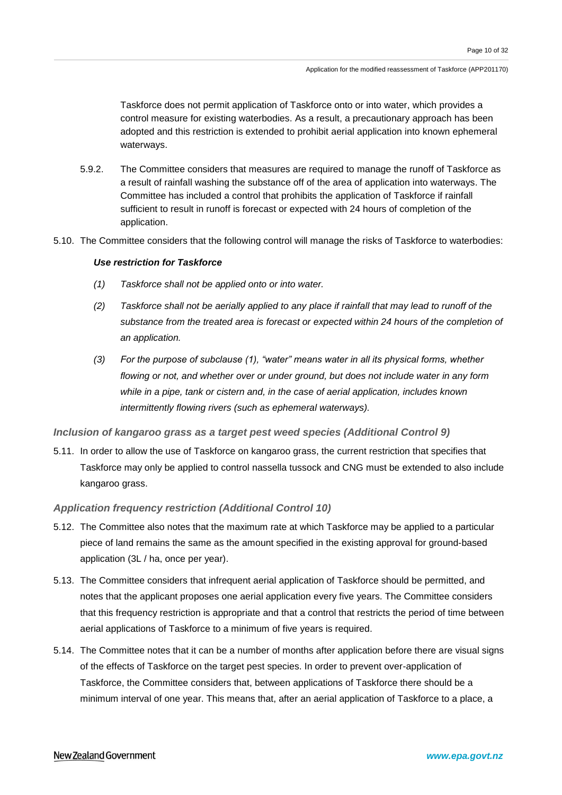Taskforce does not permit application of Taskforce onto or into water, which provides a control measure for existing waterbodies. As a result, a precautionary approach has been adopted and this restriction is extended to prohibit aerial application into known ephemeral waterways.

- 5.9.2. The Committee considers that measures are required to manage the runoff of Taskforce as a result of rainfall washing the substance off of the area of application into waterways. The Committee has included a control that prohibits the application of Taskforce if rainfall sufficient to result in runoff is forecast or expected with 24 hours of completion of the application.
- 5.10. The Committee considers that the following control will manage the risks of Taskforce to waterbodies:

### *Use restriction for Taskforce*

- *(1) Taskforce shall not be applied onto or into water.*
- *(2) Taskforce shall not be aerially applied to any place if rainfall that may lead to runoff of the substance from the treated area is forecast or expected within 24 hours of the completion of an application.*
- *(3) For the purpose of subclause (1), "water" means water in all its physical forms, whether flowing or not, and whether over or under ground, but does not include water in any form while in a pipe, tank or cistern and, in the case of aerial application, includes known intermittently flowing rivers (such as ephemeral waterways).*

### *Inclusion of kangaroo grass as a target pest weed species (Additional Control 9)*

5.11. In order to allow the use of Taskforce on kangaroo grass, the current restriction that specifies that Taskforce may only be applied to control nassella tussock and CNG must be extended to also include kangaroo grass.

### *Application frequency restriction (Additional Control 10)*

- 5.12. The Committee also notes that the maximum rate at which Taskforce may be applied to a particular piece of land remains the same as the amount specified in the existing approval for ground-based application (3L / ha, once per year).
- 5.13. The Committee considers that infrequent aerial application of Taskforce should be permitted, and notes that the applicant proposes one aerial application every five years. The Committee considers that this frequency restriction is appropriate and that a control that restricts the period of time between aerial applications of Taskforce to a minimum of five years is required.
- 5.14. The Committee notes that it can be a number of months after application before there are visual signs of the effects of Taskforce on the target pest species. In order to prevent over-application of Taskforce, the Committee considers that, between applications of Taskforce there should be a minimum interval of one year. This means that, after an aerial application of Taskforce to a place, a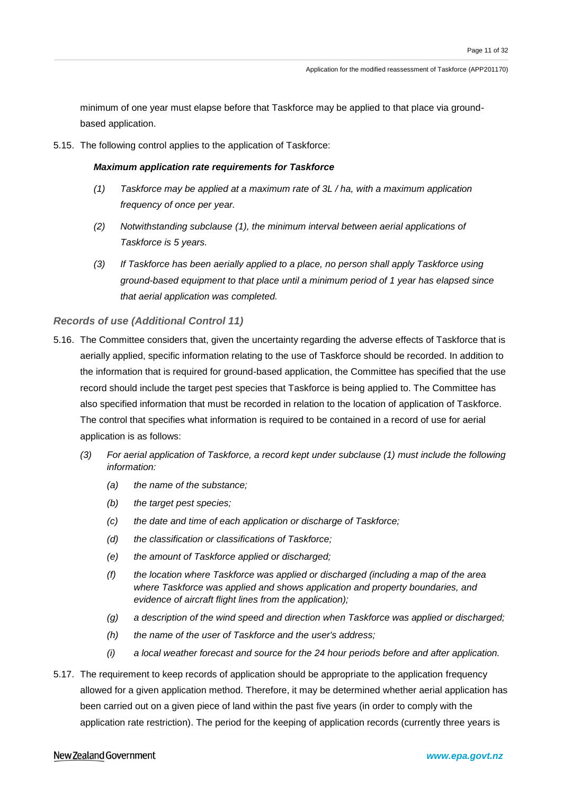minimum of one year must elapse before that Taskforce may be applied to that place via groundbased application.

5.15. The following control applies to the application of Taskforce:

### *Maximum application rate requirements for Taskforce*

- *(1) Taskforce may be applied at a maximum rate of 3L / ha, with a maximum application frequency of once per year.*
- *(2) Notwithstanding subclause (1), the minimum interval between aerial applications of Taskforce is 5 years.*
- *(3) If Taskforce has been aerially applied to a place, no person shall apply Taskforce using ground-based equipment to that place until a minimum period of 1 year has elapsed since that aerial application was completed.*

### *Records of use (Additional Control 11)*

- 5.16. The Committee considers that, given the uncertainty regarding the adverse effects of Taskforce that is aerially applied, specific information relating to the use of Taskforce should be recorded. In addition to the information that is required for ground-based application, the Committee has specified that the use record should include the target pest species that Taskforce is being applied to. The Committee has also specified information that must be recorded in relation to the location of application of Taskforce. The control that specifies what information is required to be contained in a record of use for aerial application is as follows:
	- *(3) For aerial application of Taskforce, a record kept under subclause (1) must include the following information:*
		- *(a) the name of the substance;*
		- *(b) the target pest species;*
		- *(c) the date and time of each application or discharge of Taskforce;*
		- *(d) the classification or classifications of Taskforce;*
		- *(e) the amount of Taskforce applied or discharged;*
		- *(f) the location where Taskforce was applied or discharged (including a map of the area where Taskforce was applied and shows application and property boundaries, and evidence of aircraft flight lines from the application);*
		- *(g) a description of the wind speed and direction when Taskforce was applied or discharged;*
		- *(h) the name of the user of Taskforce and the user's address;*
		- *(i) a local weather forecast and source for the 24 hour periods before and after application.*
- 5.17. The requirement to keep records of application should be appropriate to the application frequency allowed for a given application method. Therefore, it may be determined whether aerial application has been carried out on a given piece of land within the past five years (in order to comply with the application rate restriction). The period for the keeping of application records (currently three years is

#### New Zealand Government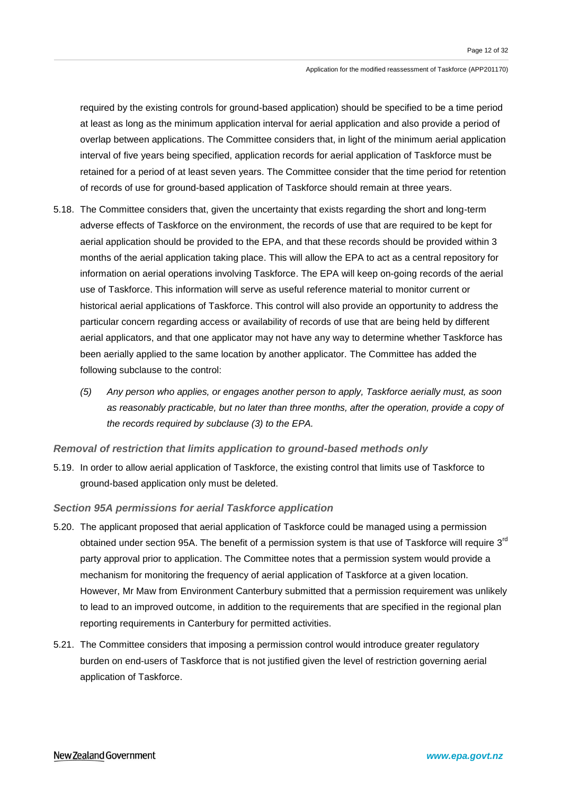required by the existing controls for ground-based application) should be specified to be a time period at least as long as the minimum application interval for aerial application and also provide a period of overlap between applications. The Committee considers that, in light of the minimum aerial application interval of five years being specified, application records for aerial application of Taskforce must be retained for a period of at least seven years. The Committee consider that the time period for retention of records of use for ground-based application of Taskforce should remain at three years.

- 5.18. The Committee considers that, given the uncertainty that exists regarding the short and long-term adverse effects of Taskforce on the environment, the records of use that are required to be kept for aerial application should be provided to the EPA, and that these records should be provided within 3 months of the aerial application taking place. This will allow the EPA to act as a central repository for information on aerial operations involving Taskforce. The EPA will keep on-going records of the aerial use of Taskforce. This information will serve as useful reference material to monitor current or historical aerial applications of Taskforce. This control will also provide an opportunity to address the particular concern regarding access or availability of records of use that are being held by different aerial applicators, and that one applicator may not have any way to determine whether Taskforce has been aerially applied to the same location by another applicator. The Committee has added the following subclause to the control:
	- *(5) Any person who applies, or engages another person to apply, Taskforce aerially must, as soon as reasonably practicable, but no later than three months, after the operation, provide a copy of the records required by subclause (3) to the EPA.*

### *Removal of restriction that limits application to ground-based methods only*

5.19. In order to allow aerial application of Taskforce, the existing control that limits use of Taskforce to ground-based application only must be deleted.

### *Section 95A permissions for aerial Taskforce application*

- 5.20. The applicant proposed that aerial application of Taskforce could be managed using a permission obtained under section 95A. The benefit of a permission system is that use of Taskforce will require 3<sup>rd</sup> party approval prior to application. The Committee notes that a permission system would provide a mechanism for monitoring the frequency of aerial application of Taskforce at a given location. However, Mr Maw from Environment Canterbury submitted that a permission requirement was unlikely to lead to an improved outcome, in addition to the requirements that are specified in the regional plan reporting requirements in Canterbury for permitted activities.
- 5.21. The Committee considers that imposing a permission control would introduce greater regulatory burden on end-users of Taskforce that is not justified given the level of restriction governing aerial application of Taskforce.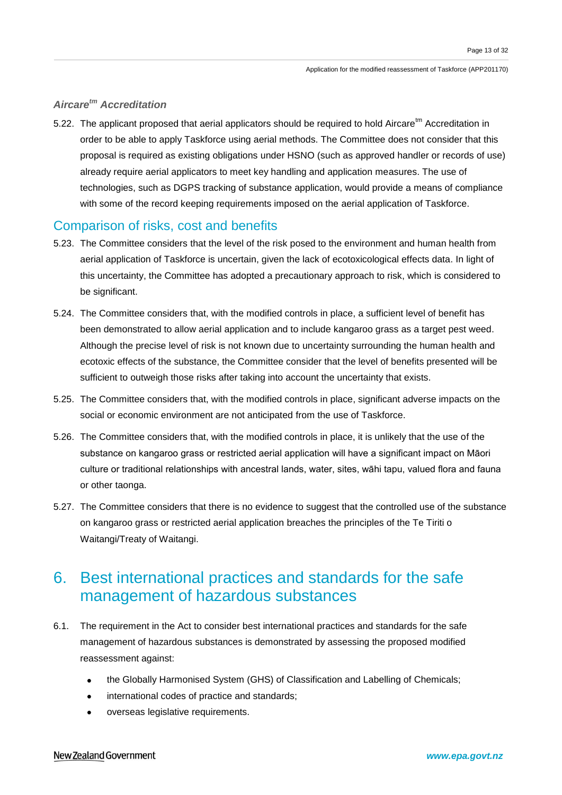### *Aircaretm Accreditation*

5.22. The applicant proposed that aerial applicators should be required to hold Aircare<sup>tm</sup> Accreditation in order to be able to apply Taskforce using aerial methods. The Committee does not consider that this proposal is required as existing obligations under HSNO (such as approved handler or records of use) already require aerial applicators to meet key handling and application measures. The use of technologies, such as DGPS tracking of substance application, would provide a means of compliance with some of the record keeping requirements imposed on the aerial application of Taskforce.

### Comparison of risks, cost and benefits

- 5.23. The Committee considers that the level of the risk posed to the environment and human health from aerial application of Taskforce is uncertain, given the lack of ecotoxicological effects data. In light of this uncertainty, the Committee has adopted a precautionary approach to risk, which is considered to be significant.
- 5.24. The Committee considers that, with the modified controls in place, a sufficient level of benefit has been demonstrated to allow aerial application and to include kangaroo grass as a target pest weed. Although the precise level of risk is not known due to uncertainty surrounding the human health and ecotoxic effects of the substance, the Committee consider that the level of benefits presented will be sufficient to outweigh those risks after taking into account the uncertainty that exists.
- 5.25. The Committee considers that, with the modified controls in place, significant adverse impacts on the social or economic environment are not anticipated from the use of Taskforce.
- 5.26. The Committee considers that, with the modified controls in place, it is unlikely that the use of the substance on kangaroo grass or restricted aerial application will have a significant impact on Māori culture or traditional relationships with ancestral lands, water, sites, wāhi tapu, valued flora and fauna or other taonga.
- 5.27. The Committee considers that there is no evidence to suggest that the controlled use of the substance on kangaroo grass or restricted aerial application breaches the principles of the Te Tiriti o Waitangi/Treaty of Waitangi.

## 6. Best international practices and standards for the safe management of hazardous substances

- 6.1. The requirement in the Act to consider best international practices and standards for the safe management of hazardous substances is demonstrated by assessing the proposed modified reassessment against:
	- the Globally Harmonised System (GHS) of Classification and Labelling of Chemicals;
	- international codes of practice and standards;
	- overseas legislative requirements.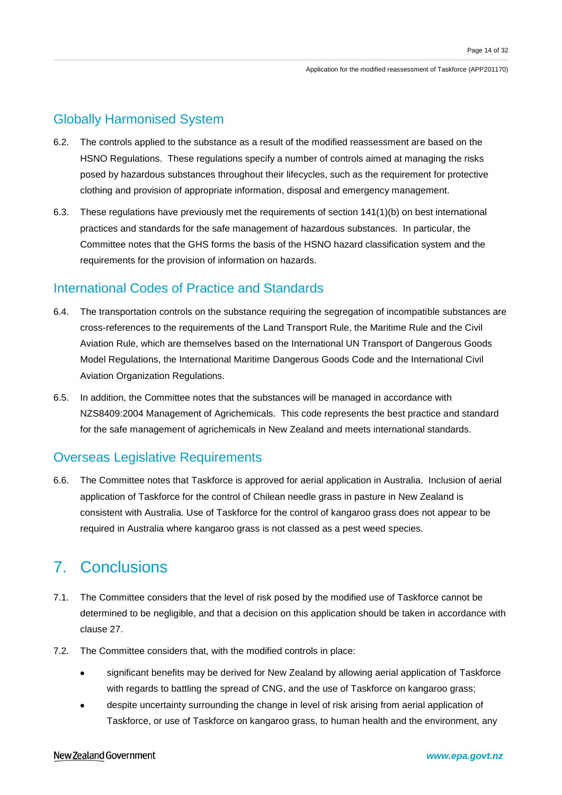## Globally Harmonised System

- 6.2. The controls applied to the substance as a result of the modified reassessment are based on the HSNO Regulations. These regulations specify a number of controls aimed at managing the risks posed by hazardous substances throughout their lifecycles, such as the requirement for protective clothing and provision of appropriate information, disposal and emergency management.
- 6.3. These regulations have previously met the requirements of section 141(1)(b) on best international practices and standards for the safe management of hazardous substances. In particular, the Committee notes that the GHS forms the basis of the HSNO hazard classification system and the requirements for the provision of information on hazards.

### International Codes of Practice and Standards

- 6.4. The transportation controls on the substance requiring the segregation of incompatible substances are cross-references to the requirements of the Land Transport Rule, the Maritime Rule and the Civil Aviation Rule, which are themselves based on the International UN Transport of Dangerous Goods Model Regulations, the International Maritime Dangerous Goods Code and the International Civil Aviation Organization Regulations.
- 6.5. In addition, the Committee notes that the substances will be managed in accordance with NZS8409:2004 Management of Agrichemicals. This code represents the best practice and standard for the safe management of agrichemicals in New Zealand and meets international standards.

## Overseas Legislative Requirements

6.6. The Committee notes that Taskforce is approved for aerial application in Australia. Inclusion of aerial application of Taskforce for the control of Chilean needle grass in pasture in New Zealand is consistent with Australia. Use of Taskforce for the control of kangaroo grass does not appear to be required in Australia where kangaroo grass is not classed as a pest weed species.

## 7. Conclusions

- 7.1. The Committee considers that the level of risk posed by the modified use of Taskforce cannot be determined to be negligible, and that a decision on this application should be taken in accordance with clause 27.
- 7.2. The Committee considers that, with the modified controls in place:
	- significant benefits may be derived for New Zealand by allowing aerial application of Taskforce with regards to battling the spread of CNG, and the use of Taskforce on kangaroo grass;
	- despite uncertainty surrounding the change in level of risk arising from aerial application of Taskforce, or use of Taskforce on kangaroo grass, to human health and the environment, any

### New Zealand Government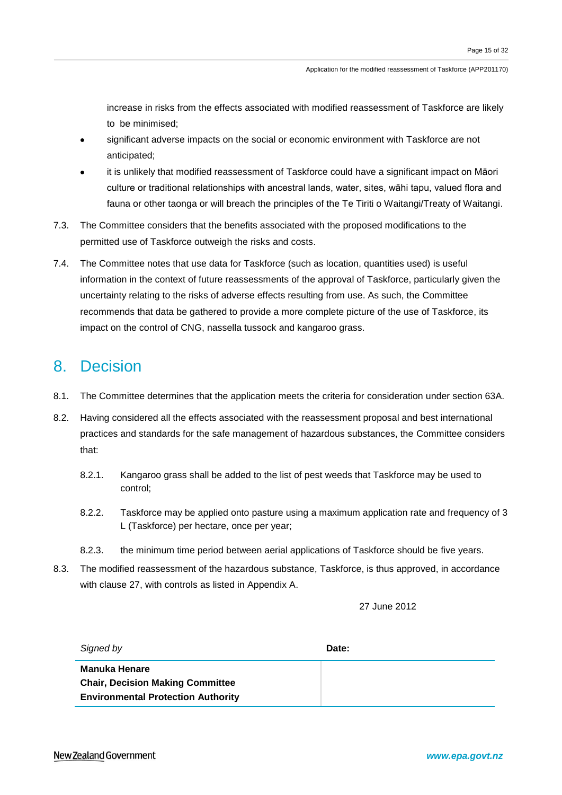increase in risks from the effects associated with modified reassessment of Taskforce are likely to be minimised;

- significant adverse impacts on the social or economic environment with Taskforce are not anticipated;
- it is unlikely that modified reassessment of Taskforce could have a significant impact on Māori culture or traditional relationships with ancestral lands, water, sites, wāhi tapu, valued flora and fauna or other taonga or will breach the principles of the Te Tiriti o Waitangi/Treaty of Waitangi.
- 7.3. The Committee considers that the benefits associated with the proposed modifications to the permitted use of Taskforce outweigh the risks and costs.
- 7.4. The Committee notes that use data for Taskforce (such as location, quantities used) is useful information in the context of future reassessments of the approval of Taskforce, particularly given the uncertainty relating to the risks of adverse effects resulting from use. As such, the Committee recommends that data be gathered to provide a more complete picture of the use of Taskforce, its impact on the control of CNG, nassella tussock and kangaroo grass.

## 8. Decision

- 8.1. The Committee determines that the application meets the criteria for consideration under section 63A.
- 8.2. Having considered all the effects associated with the reassessment proposal and best international practices and standards for the safe management of hazardous substances, the Committee considers that:
	- 8.2.1. Kangaroo grass shall be added to the list of pest weeds that Taskforce may be used to control;
	- 8.2.2. Taskforce may be applied onto pasture using a maximum application rate and frequency of 3 L (Taskforce) per hectare, once per year;
	- 8.2.3. the minimum time period between aerial applications of Taskforce should be five years.
- 8.3. The modified reassessment of the hazardous substance, Taskforce, is thus approved, in accordance with clause 27, with controls as listed in Appendix A.

27 June 2012

| Signed by                                                                                                    | Date: |
|--------------------------------------------------------------------------------------------------------------|-------|
| <b>Manuka Henare</b><br><b>Chair, Decision Making Committee</b><br><b>Environmental Protection Authority</b> |       |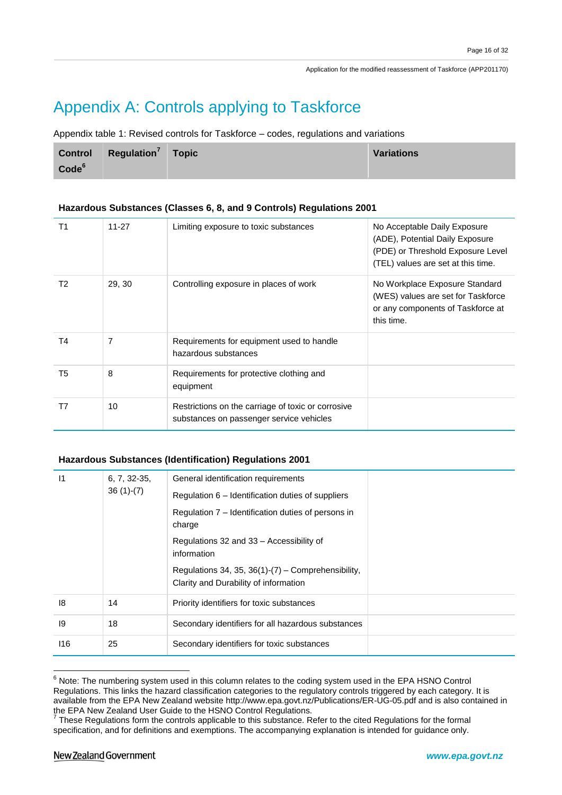# Appendix A: Controls applying to Taskforce

Appendix table 1: Revised controls for Taskforce – codes, regulations and variations

|                   | Control Regulation <sup>7</sup> Topic | <b>Variations</b> |
|-------------------|---------------------------------------|-------------------|
| Code <sup>6</sup> |                                       |                   |

### **Hazardous Substances (Classes 6, 8, and 9 Controls) Regulations 2001**

| T <sub>1</sub> | $11 - 27$ | Limiting exposure to toxic substances                                                          | No Acceptable Daily Exposure<br>(ADE), Potential Daily Exposure<br>(PDE) or Threshold Exposure Level<br>(TEL) values are set at this time. |
|----------------|-----------|------------------------------------------------------------------------------------------------|--------------------------------------------------------------------------------------------------------------------------------------------|
| T2             | 29, 30    | Controlling exposure in places of work                                                         | No Workplace Exposure Standard<br>(WES) values are set for Taskforce<br>or any components of Taskforce at<br>this time.                    |
| T <sub>4</sub> | 7         | Requirements for equipment used to handle<br>hazardous substances                              |                                                                                                                                            |
| T <sub>5</sub> | 8         | Requirements for protective clothing and<br>equipment                                          |                                                                                                                                            |
| T7             | 10        | Restrictions on the carriage of toxic or corrosive<br>substances on passenger service vehicles |                                                                                                                                            |

### **Hazardous Substances (Identification) Regulations 2001**

| $\vert$ 1 | $6, 7, 32-35,$<br>$36(1)-(7)$ | General identification requirements                                                            |  |
|-----------|-------------------------------|------------------------------------------------------------------------------------------------|--|
|           |                               | Regulation 6 – Identification duties of suppliers                                              |  |
|           |                               | Regulation 7 – Identification duties of persons in<br>charge                                   |  |
|           |                               | Regulations 32 and 33 - Accessibility of<br>information                                        |  |
|           |                               | Regulations 34, 35, 36(1)- $(7)$ – Comprehensibility,<br>Clarity and Durability of information |  |
| 18        | 14                            | Priority identifiers for toxic substances                                                      |  |
| 19        | 18                            | Secondary identifiers for all hazardous substances                                             |  |
| 116       | 25                            | Secondary identifiers for toxic substances                                                     |  |

 $6$  Note: The numbering system used in this column relates to the coding system used in the EPA HSNO Control Regulations. This links the hazard classification categories to the regulatory controls triggered by each category. It is available from the EPA New Zealand website http://www.epa.govt.nz/Publications/ER-UG-05.pdf and is also contained in

the EPA New Zealand User Guide to the HSNO Control Regulations.<br><sup>7</sup> These Regulations form the controls applicable to this substance. Refer to the cited Regulations for the formal specification, and for definitions and exemptions. The accompanying explanation is intended for guidance only.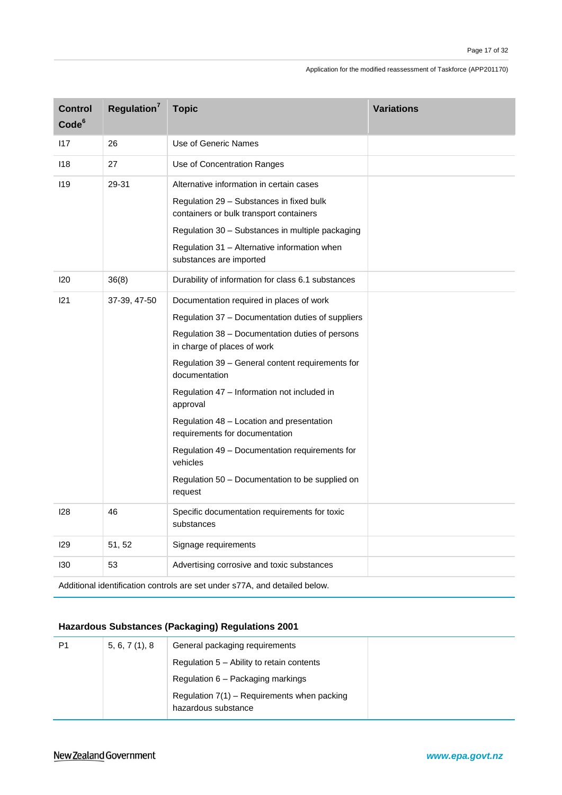| <b>Control</b><br>Code <sup>6</sup> | Regulation <sup>7</sup> | <b>Topic</b>                                                                                                                                                                                                                                                                                                                                                                                                                                                                                                               | <b>Variations</b> |
|-------------------------------------|-------------------------|----------------------------------------------------------------------------------------------------------------------------------------------------------------------------------------------------------------------------------------------------------------------------------------------------------------------------------------------------------------------------------------------------------------------------------------------------------------------------------------------------------------------------|-------------------|
| 117                                 | 26                      | Use of Generic Names                                                                                                                                                                                                                                                                                                                                                                                                                                                                                                       |                   |
| 118                                 | 27                      | Use of Concentration Ranges                                                                                                                                                                                                                                                                                                                                                                                                                                                                                                |                   |
| 119                                 | 29-31                   | Alternative information in certain cases<br>Regulation 29 - Substances in fixed bulk<br>containers or bulk transport containers<br>Regulation 30 - Substances in multiple packaging<br>Regulation 31 - Alternative information when<br>substances are imported                                                                                                                                                                                                                                                             |                   |
| 120                                 | 36(8)                   | Durability of information for class 6.1 substances                                                                                                                                                                                                                                                                                                                                                                                                                                                                         |                   |
| 121                                 | 37-39, 47-50            | Documentation required in places of work<br>Regulation 37 - Documentation duties of suppliers<br>Regulation 38 - Documentation duties of persons<br>in charge of places of work<br>Regulation 39 - General content requirements for<br>documentation<br>Regulation 47 - Information not included in<br>approval<br>Regulation 48 - Location and presentation<br>requirements for documentation<br>Regulation 49 - Documentation requirements for<br>vehicles<br>Regulation 50 - Documentation to be supplied on<br>request |                   |
| 128                                 | 46                      | Specific documentation requirements for toxic<br>substances                                                                                                                                                                                                                                                                                                                                                                                                                                                                |                   |
| 129                                 | 51, 52                  | Signage requirements                                                                                                                                                                                                                                                                                                                                                                                                                                                                                                       |                   |
| 130                                 | 53                      | Advertising corrosive and toxic substances                                                                                                                                                                                                                                                                                                                                                                                                                                                                                 |                   |

Additional identification controls are set under s77A, and detailed below.

### **Hazardous Substances (Packaging) Regulations 2001**

| P1 | 5, 6, 7(1), 8 | General packaging requirements                |  |
|----|---------------|-----------------------------------------------|--|
|    |               | Regulation 5 – Ability to retain contents     |  |
|    |               | Regulation 6 – Packaging markings             |  |
|    |               | Regulation $7(1)$ – Requirements when packing |  |
|    |               | hazardous substance                           |  |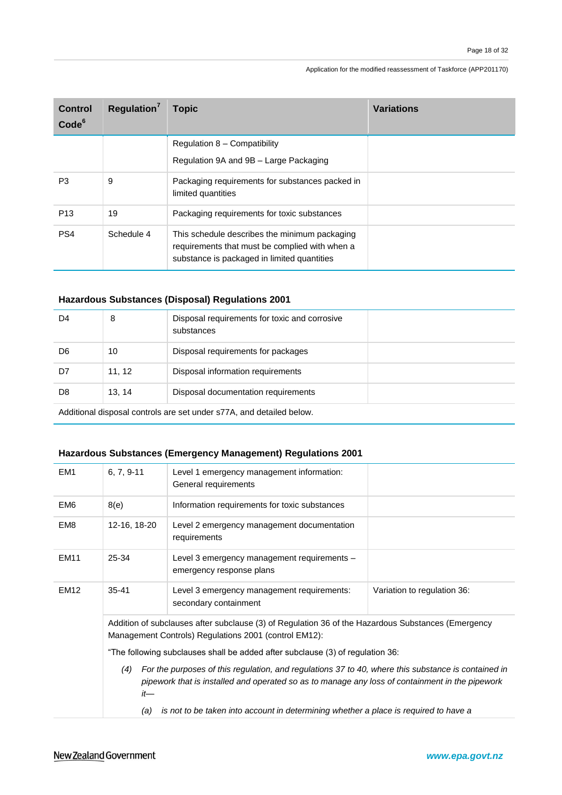| Control<br>Code <sup>6</sup> | Regulation <sup>7</sup> | <b>Topic</b>                                                                                                                                   | <b>Variations</b> |
|------------------------------|-------------------------|------------------------------------------------------------------------------------------------------------------------------------------------|-------------------|
|                              |                         | Regulation 8 - Compatibility                                                                                                                   |                   |
|                              |                         | Regulation 9A and 9B - Large Packaging                                                                                                         |                   |
| P <sub>3</sub>               | 9                       | Packaging requirements for substances packed in<br>limited quantities                                                                          |                   |
| P <sub>13</sub>              | 19                      | Packaging requirements for toxic substances                                                                                                    |                   |
| PS <sub>4</sub>              | Schedule 4              | This schedule describes the minimum packaging<br>requirements that must be complied with when a<br>substance is packaged in limited quantities |                   |

### **Hazardous Substances (Disposal) Regulations 2001**

| D4                                                                      | 8      | Disposal requirements for toxic and corrosive<br>substances |  |
|-------------------------------------------------------------------------|--------|-------------------------------------------------------------|--|
| D6                                                                      | 10     | Disposal requirements for packages                          |  |
| D7                                                                      | 11, 12 | Disposal information requirements                           |  |
| D8                                                                      | 13.14  | Disposal documentation requirements                         |  |
| unded beliefed and depending to the set under states and detailed helps |        |                                                             |  |

Additional disposal controls are set under s77A, and detailed below.

### **Hazardous Substances (Emergency Management) Regulations 2001**

| EM <sub>1</sub> | $6, 7, 9-11$                                                                                                                                                                                                         | Level 1 emergency management information:<br>General requirements                    |                             |
|-----------------|----------------------------------------------------------------------------------------------------------------------------------------------------------------------------------------------------------------------|--------------------------------------------------------------------------------------|-----------------------------|
| EM <sub>6</sub> | 8(e)                                                                                                                                                                                                                 | Information requirements for toxic substances                                        |                             |
| EM <sub>8</sub> | 12-16, 18-20                                                                                                                                                                                                         | Level 2 emergency management documentation<br>requirements                           |                             |
| <b>EM11</b>     | 25-34                                                                                                                                                                                                                | Level 3 emergency management requirements -<br>emergency response plans              |                             |
| <b>EM12</b>     | $35 - 41$                                                                                                                                                                                                            | Level 3 emergency management requirements:<br>secondary containment                  | Variation to regulation 36: |
|                 | Addition of subclauses after subclause (3) of Regulation 36 of the Hazardous Substances (Emergency<br>Management Controls) Regulations 2001 (control EM12):                                                          |                                                                                      |                             |
|                 | "The following subclauses shall be added after subclause (3) of regulation 36:                                                                                                                                       |                                                                                      |                             |
|                 | For the purposes of this regulation, and regulations 37 to 40, where this substance is contained in<br>(4)<br>pipework that is installed and operated so as to manage any loss of containment in the pipework<br>it— |                                                                                      |                             |
|                 | (a)                                                                                                                                                                                                                  | is not to be taken into account in determining whether a place is required to have a |                             |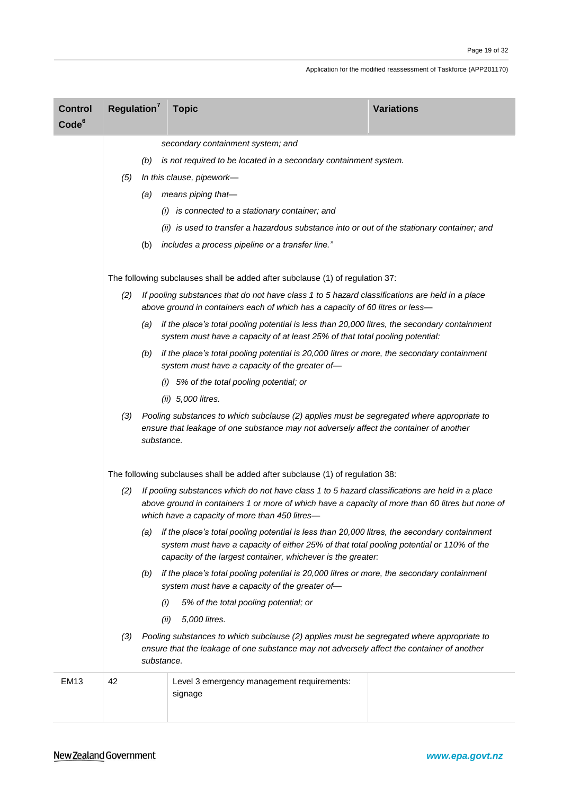| <b>Control</b><br>Code <sup>6</sup> | Regulation <sup>7</sup>                                                                                                                                                                                  |            | <b>Topic</b>                                                                                                                                                                                                                                             | <b>Variations</b> |
|-------------------------------------|----------------------------------------------------------------------------------------------------------------------------------------------------------------------------------------------------------|------------|----------------------------------------------------------------------------------------------------------------------------------------------------------------------------------------------------------------------------------------------------------|-------------------|
|                                     |                                                                                                                                                                                                          |            | secondary containment system; and                                                                                                                                                                                                                        |                   |
|                                     |                                                                                                                                                                                                          | (b)        | is not required to be located in a secondary containment system.                                                                                                                                                                                         |                   |
|                                     | (5)                                                                                                                                                                                                      |            | In this clause, pipework-                                                                                                                                                                                                                                |                   |
|                                     |                                                                                                                                                                                                          | (a)        | means piping that-                                                                                                                                                                                                                                       |                   |
|                                     |                                                                                                                                                                                                          |            | (i) is connected to a stationary container; and                                                                                                                                                                                                          |                   |
|                                     |                                                                                                                                                                                                          |            | (ii) is used to transfer a hazardous substance into or out of the stationary container; and                                                                                                                                                              |                   |
|                                     |                                                                                                                                                                                                          | (b)        | includes a process pipeline or a transfer line."                                                                                                                                                                                                         |                   |
|                                     |                                                                                                                                                                                                          |            | The following subclauses shall be added after subclause (1) of regulation 37:                                                                                                                                                                            |                   |
|                                     | (2)                                                                                                                                                                                                      |            | If pooling substances that do not have class 1 to 5 hazard classifications are held in a place<br>above ground in containers each of which has a capacity of 60 litres or less-                                                                          |                   |
|                                     |                                                                                                                                                                                                          | (a)        | if the place's total pooling potential is less than 20,000 litres, the secondary containment<br>system must have a capacity of at least 25% of that total pooling potential:                                                                             |                   |
|                                     | if the place's total pooling potential is 20,000 litres or more, the secondary containment<br>(b)<br>system must have a capacity of the greater of-                                                      |            |                                                                                                                                                                                                                                                          |                   |
|                                     |                                                                                                                                                                                                          |            | (i) 5% of the total pooling potential; or                                                                                                                                                                                                                |                   |
|                                     |                                                                                                                                                                                                          |            | (ii) 5,000 litres.                                                                                                                                                                                                                                       |                   |
|                                     | Pooling substances to which subclause (2) applies must be segregated where appropriate to<br>(3)<br>ensure that leakage of one substance may not adversely affect the container of another<br>substance. |            |                                                                                                                                                                                                                                                          |                   |
|                                     | The following subclauses shall be added after subclause (1) of regulation 38:                                                                                                                            |            |                                                                                                                                                                                                                                                          |                   |
|                                     | (2)                                                                                                                                                                                                      |            | If pooling substances which do not have class 1 to 5 hazard classifications are held in a place<br>above ground in containers 1 or more of which have a capacity of more than 60 litres but none of<br>which have a capacity of more than 450 litres-    |                   |
|                                     |                                                                                                                                                                                                          | (a)        | if the place's total pooling potential is less than 20,000 litres, the secondary containment<br>system must have a capacity of either 25% of that total pooling potential or 110% of the<br>capacity of the largest container, whichever is the greater: |                   |
|                                     |                                                                                                                                                                                                          | (b)        | if the place's total pooling potential is 20,000 litres or more, the secondary containment<br>system must have a capacity of the greater of-                                                                                                             |                   |
|                                     |                                                                                                                                                                                                          | (i)        | 5% of the total pooling potential; or                                                                                                                                                                                                                    |                   |
|                                     |                                                                                                                                                                                                          | (ii)       | 5,000 litres.                                                                                                                                                                                                                                            |                   |
|                                     | (3)                                                                                                                                                                                                      | substance. | Pooling substances to which subclause (2) applies must be segregated where appropriate to<br>ensure that the leakage of one substance may not adversely affect the container of another                                                                  |                   |
| <b>EM13</b>                         | 42                                                                                                                                                                                                       |            | Level 3 emergency management requirements:<br>signage                                                                                                                                                                                                    |                   |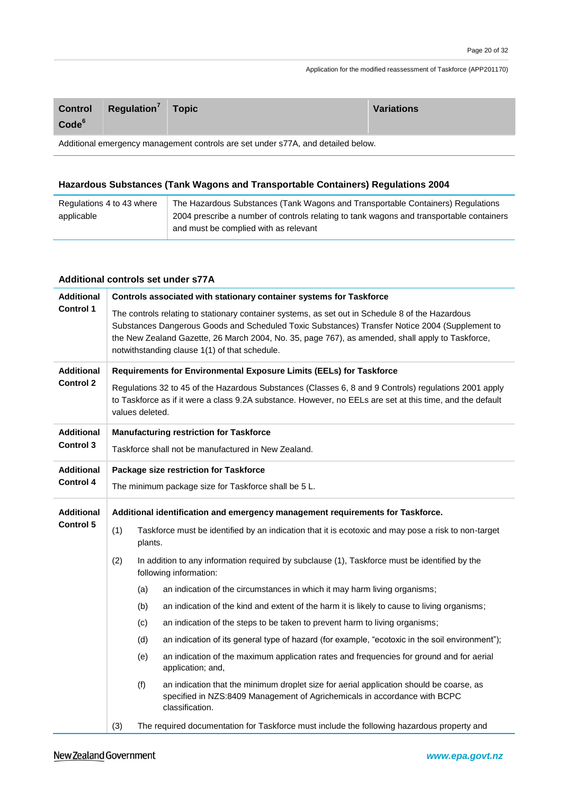| <b>Control</b><br>Code <sup>6</sup>                                              | Regulation <sup>7</sup> Topic |  | <b>Variations</b> |
|----------------------------------------------------------------------------------|-------------------------------|--|-------------------|
| Additional emergency management controls are set under s77A, and detailed below. |                               |  |                   |

### **Hazardous Substances (Tank Wagons and Transportable Containers) Regulations 2004**

| Regulations 4 to 43 where | The Hazardous Substances (Tank Wagons and Transportable Containers) Regulations          |
|---------------------------|------------------------------------------------------------------------------------------|
| applicable                | 2004 prescribe a number of controls relating to tank wagons and transportable containers |
|                           | and must be complied with as relevant                                                    |

### **Additional controls set under s77A**

| <b>Additional</b> | Controls associated with stationary container systems for Taskforce                                                                                                                                                                   |                                                                                                                                                                                                                                                                                                                                                         |  |  |
|-------------------|---------------------------------------------------------------------------------------------------------------------------------------------------------------------------------------------------------------------------------------|---------------------------------------------------------------------------------------------------------------------------------------------------------------------------------------------------------------------------------------------------------------------------------------------------------------------------------------------------------|--|--|
| <b>Control 1</b>  |                                                                                                                                                                                                                                       | The controls relating to stationary container systems, as set out in Schedule 8 of the Hazardous<br>Substances Dangerous Goods and Scheduled Toxic Substances) Transfer Notice 2004 (Supplement to<br>the New Zealand Gazette, 26 March 2004, No. 35, page 767), as amended, shall apply to Taskforce,<br>notwithstanding clause 1(1) of that schedule. |  |  |
| <b>Additional</b> |                                                                                                                                                                                                                                       | Requirements for Environmental Exposure Limits (EELs) for Taskforce                                                                                                                                                                                                                                                                                     |  |  |
| <b>Control 2</b>  | Regulations 32 to 45 of the Hazardous Substances (Classes 6, 8 and 9 Controls) regulations 2001 apply<br>to Taskforce as if it were a class 9.2A substance. However, no EELs are set at this time, and the default<br>values deleted. |                                                                                                                                                                                                                                                                                                                                                         |  |  |
| <b>Additional</b> |                                                                                                                                                                                                                                       | <b>Manufacturing restriction for Taskforce</b>                                                                                                                                                                                                                                                                                                          |  |  |
| <b>Control 3</b>  |                                                                                                                                                                                                                                       | Taskforce shall not be manufactured in New Zealand.                                                                                                                                                                                                                                                                                                     |  |  |
| <b>Additional</b> | Package size restriction for Taskforce                                                                                                                                                                                                |                                                                                                                                                                                                                                                                                                                                                         |  |  |
| <b>Control 4</b>  | The minimum package size for Taskforce shall be 5 L.                                                                                                                                                                                  |                                                                                                                                                                                                                                                                                                                                                         |  |  |
| <b>Additional</b> | Additional identification and emergency management requirements for Taskforce.                                                                                                                                                        |                                                                                                                                                                                                                                                                                                                                                         |  |  |
| <b>Control 5</b>  | (1)                                                                                                                                                                                                                                   | Taskforce must be identified by an indication that it is ecotoxic and may pose a risk to non-target<br>plants.                                                                                                                                                                                                                                          |  |  |
|                   | (2)                                                                                                                                                                                                                                   | In addition to any information required by subclause (1), Taskforce must be identified by the<br>following information:                                                                                                                                                                                                                                 |  |  |
|                   |                                                                                                                                                                                                                                       | (a)<br>an indication of the circumstances in which it may harm living organisms;                                                                                                                                                                                                                                                                        |  |  |
|                   |                                                                                                                                                                                                                                       | an indication of the kind and extent of the harm it is likely to cause to living organisms;<br>(b)                                                                                                                                                                                                                                                      |  |  |
|                   |                                                                                                                                                                                                                                       | an indication of the steps to be taken to prevent harm to living organisms;<br>(c)                                                                                                                                                                                                                                                                      |  |  |
|                   |                                                                                                                                                                                                                                       | (d)<br>an indication of its general type of hazard (for example, "ecotoxic in the soil environment");                                                                                                                                                                                                                                                   |  |  |
|                   |                                                                                                                                                                                                                                       | an indication of the maximum application rates and frequencies for ground and for aerial<br>(e)<br>application; and,                                                                                                                                                                                                                                    |  |  |
|                   |                                                                                                                                                                                                                                       | (f)<br>an indication that the minimum droplet size for aerial application should be coarse, as<br>specified in NZS:8409 Management of Agrichemicals in accordance with BCPC<br>classification.                                                                                                                                                          |  |  |
|                   | (3)                                                                                                                                                                                                                                   | The required documentation for Taskforce must include the following hazardous property and                                                                                                                                                                                                                                                              |  |  |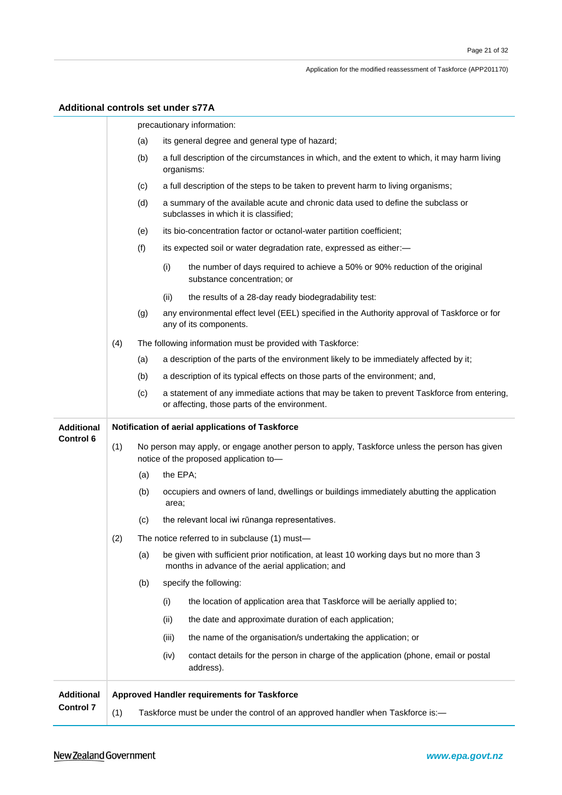| <b>Additional controls set under s77A</b> |     |     |          |                                                                                                                                              |
|-------------------------------------------|-----|-----|----------|----------------------------------------------------------------------------------------------------------------------------------------------|
|                                           |     |     |          | precautionary information:                                                                                                                   |
|                                           |     | (a) |          | its general degree and general type of hazard;                                                                                               |
|                                           |     | (b) |          | a full description of the circumstances in which, and the extent to which, it may harm living<br>organisms:                                  |
|                                           |     | (c) |          | a full description of the steps to be taken to prevent harm to living organisms;                                                             |
|                                           |     | (d) |          | a summary of the available acute and chronic data used to define the subclass or<br>subclasses in which it is classified;                    |
|                                           |     | (e) |          | its bio-concentration factor or octanol-water partition coefficient;                                                                         |
|                                           |     | (f) |          | its expected soil or water degradation rate, expressed as either:-                                                                           |
|                                           |     |     | (i)      | the number of days required to achieve a 50% or 90% reduction of the original<br>substance concentration; or                                 |
|                                           |     |     | (ii)     | the results of a 28-day ready biodegradability test:                                                                                         |
|                                           |     | (g) |          | any environmental effect level (EEL) specified in the Authority approval of Taskforce or for<br>any of its components.                       |
|                                           | (4) |     |          | The following information must be provided with Taskforce:                                                                                   |
|                                           |     | (a) |          | a description of the parts of the environment likely to be immediately affected by it;                                                       |
|                                           |     | (b) |          | a description of its typical effects on those parts of the environment; and,                                                                 |
|                                           |     | (c) |          | a statement of any immediate actions that may be taken to prevent Taskforce from entering,<br>or affecting, those parts of the environment.  |
| <b>Additional</b>                         |     |     |          | Notification of aerial applications of Taskforce                                                                                             |
|                                           |     |     |          |                                                                                                                                              |
| <b>Control 6</b>                          | (1) |     |          | No person may apply, or engage another person to apply, Taskforce unless the person has given<br>notice of the proposed application to-      |
|                                           |     | (a) | the EPA; |                                                                                                                                              |
|                                           |     | (b) | area;    | occupiers and owners of land, dwellings or buildings immediately abutting the application                                                    |
|                                           |     | (C) |          | the relevant local iwi rūnanga representatives.                                                                                              |
|                                           | (2) |     |          | The notice referred to in subclause (1) must-                                                                                                |
|                                           |     | (a) |          | be given with sufficient prior notification, at least 10 working days but no more than 3<br>months in advance of the aerial application; and |
|                                           |     | (b) |          | specify the following:                                                                                                                       |
|                                           |     |     | (i)      | the location of application area that Taskforce will be aerially applied to;                                                                 |
|                                           |     |     | (ii)     | the date and approximate duration of each application;                                                                                       |
|                                           |     |     | (iii)    | the name of the organisation/s undertaking the application; or                                                                               |
|                                           |     |     | (iv)     | contact details for the person in charge of the application (phone, email or postal<br>address).                                             |
| <b>Additional</b>                         |     |     |          | Approved Handler requirements for Taskforce                                                                                                  |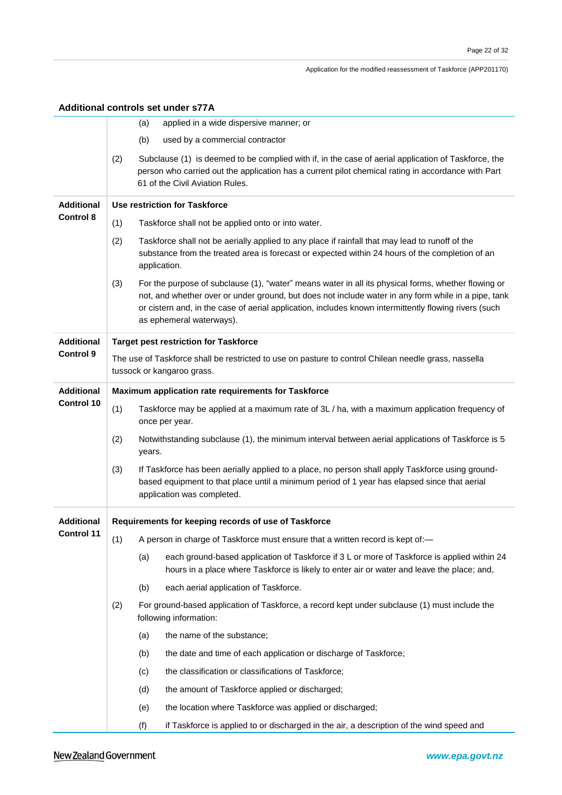|                   |                                                                                                                         | Additional controls set under s77A                                                                                                                                                                                                                                                                                                              |  |  |  |
|-------------------|-------------------------------------------------------------------------------------------------------------------------|-------------------------------------------------------------------------------------------------------------------------------------------------------------------------------------------------------------------------------------------------------------------------------------------------------------------------------------------------|--|--|--|
|                   |                                                                                                                         | applied in a wide dispersive manner; or<br>(a)                                                                                                                                                                                                                                                                                                  |  |  |  |
|                   |                                                                                                                         | (b)<br>used by a commercial contractor                                                                                                                                                                                                                                                                                                          |  |  |  |
|                   | (2)                                                                                                                     | Subclause (1) is deemed to be complied with if, in the case of aerial application of Taskforce, the<br>person who carried out the application has a current pilot chemical rating in accordance with Part<br>61 of the Civil Aviation Rules.                                                                                                    |  |  |  |
| <b>Additional</b> | <b>Use restriction for Taskforce</b>                                                                                    |                                                                                                                                                                                                                                                                                                                                                 |  |  |  |
| <b>Control 8</b>  | (1)                                                                                                                     | Taskforce shall not be applied onto or into water.                                                                                                                                                                                                                                                                                              |  |  |  |
|                   | (2)                                                                                                                     | Taskforce shall not be aerially applied to any place if rainfall that may lead to runoff of the<br>substance from the treated area is forecast or expected within 24 hours of the completion of an<br>application.                                                                                                                              |  |  |  |
|                   | (3)                                                                                                                     | For the purpose of subclause (1), "water" means water in all its physical forms, whether flowing or<br>not, and whether over or under ground, but does not include water in any form while in a pipe, tank<br>or cistern and, in the case of aerial application, includes known intermittently flowing rivers (such<br>as ephemeral waterways). |  |  |  |
| <b>Additional</b> |                                                                                                                         | <b>Target pest restriction for Taskforce</b>                                                                                                                                                                                                                                                                                                    |  |  |  |
| <b>Control 9</b>  |                                                                                                                         | The use of Taskforce shall be restricted to use on pasture to control Chilean needle grass, nassella<br>tussock or kangaroo grass.                                                                                                                                                                                                              |  |  |  |
| <b>Additional</b> | Maximum application rate requirements for Taskforce                                                                     |                                                                                                                                                                                                                                                                                                                                                 |  |  |  |
| <b>Control 10</b> | (1)<br>Taskforce may be applied at a maximum rate of 3L / ha, with a maximum application frequency of<br>once per year. |                                                                                                                                                                                                                                                                                                                                                 |  |  |  |
|                   | (2)                                                                                                                     | Notwithstanding subclause (1), the minimum interval between aerial applications of Taskforce is 5<br>years.                                                                                                                                                                                                                                     |  |  |  |
|                   | (3)                                                                                                                     | If Taskforce has been aerially applied to a place, no person shall apply Taskforce using ground-<br>based equipment to that place until a minimum period of 1 year has elapsed since that aerial<br>application was completed.                                                                                                                  |  |  |  |
| <b>Additional</b> | Requirements for keeping records of use of Taskforce                                                                    |                                                                                                                                                                                                                                                                                                                                                 |  |  |  |
| <b>Control 11</b> | (1)                                                                                                                     | A person in charge of Taskforce must ensure that a written record is kept of:-                                                                                                                                                                                                                                                                  |  |  |  |
|                   |                                                                                                                         | (a)<br>each ground-based application of Taskforce if 3 L or more of Taskforce is applied within 24<br>hours in a place where Taskforce is likely to enter air or water and leave the place; and,                                                                                                                                                |  |  |  |
|                   |                                                                                                                         | each aerial application of Taskforce.<br>(b)                                                                                                                                                                                                                                                                                                    |  |  |  |
|                   | (2)                                                                                                                     | For ground-based application of Taskforce, a record kept under subclause (1) must include the<br>following information:                                                                                                                                                                                                                         |  |  |  |
|                   |                                                                                                                         | the name of the substance;<br>(a)                                                                                                                                                                                                                                                                                                               |  |  |  |
|                   |                                                                                                                         | the date and time of each application or discharge of Taskforce;<br>(b)                                                                                                                                                                                                                                                                         |  |  |  |
|                   |                                                                                                                         | the classification or classifications of Taskforce;<br>(c)                                                                                                                                                                                                                                                                                      |  |  |  |
|                   |                                                                                                                         | the amount of Taskforce applied or discharged;<br>(d)                                                                                                                                                                                                                                                                                           |  |  |  |
|                   |                                                                                                                         | the location where Taskforce was applied or discharged;<br>(e)                                                                                                                                                                                                                                                                                  |  |  |  |
|                   |                                                                                                                         | (f)<br>if Taskforce is applied to or discharged in the air, a description of the wind speed and                                                                                                                                                                                                                                                 |  |  |  |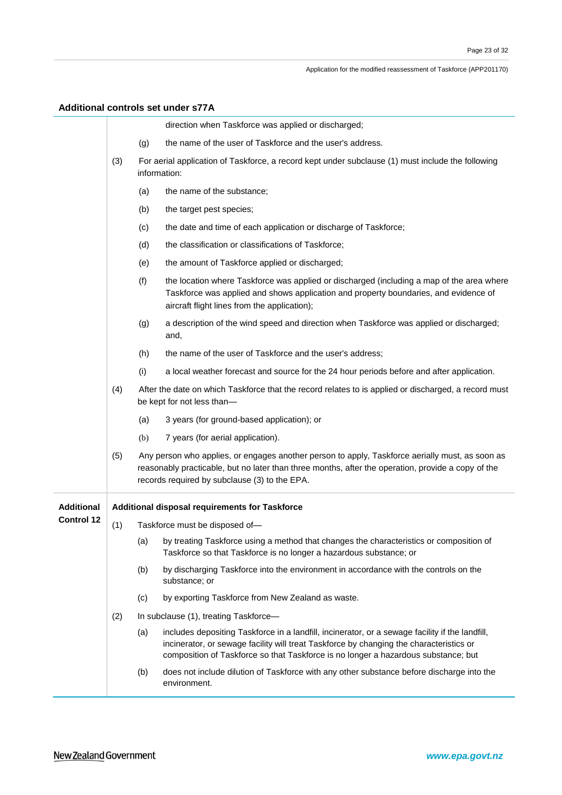### **Additional controls set under s77A**

|                   |     | direction when Taskforce was applied or discharged;                                                                                                                                                                                                                                     |
|-------------------|-----|-----------------------------------------------------------------------------------------------------------------------------------------------------------------------------------------------------------------------------------------------------------------------------------------|
|                   |     | the name of the user of Taskforce and the user's address.<br>(g)                                                                                                                                                                                                                        |
|                   | (3) | For aerial application of Taskforce, a record kept under subclause (1) must include the following<br>information:                                                                                                                                                                       |
|                   |     | the name of the substance;<br>(a)                                                                                                                                                                                                                                                       |
|                   |     | (b)<br>the target pest species;                                                                                                                                                                                                                                                         |
|                   |     | (c)<br>the date and time of each application or discharge of Taskforce;                                                                                                                                                                                                                 |
|                   |     | (d)<br>the classification or classifications of Taskforce;                                                                                                                                                                                                                              |
|                   |     | the amount of Taskforce applied or discharged;<br>(e)                                                                                                                                                                                                                                   |
|                   |     | (f)<br>the location where Taskforce was applied or discharged (including a map of the area where<br>Taskforce was applied and shows application and property boundaries, and evidence of<br>aircraft flight lines from the application);                                                |
|                   |     | a description of the wind speed and direction when Taskforce was applied or discharged;<br>(g)<br>and,                                                                                                                                                                                  |
|                   |     | the name of the user of Taskforce and the user's address;<br>(h)                                                                                                                                                                                                                        |
|                   |     | (i)<br>a local weather forecast and source for the 24 hour periods before and after application.                                                                                                                                                                                        |
|                   | (4) | After the date on which Taskforce that the record relates to is applied or discharged, a record must<br>be kept for not less than-                                                                                                                                                      |
|                   |     | 3 years (for ground-based application); or<br>(a)                                                                                                                                                                                                                                       |
|                   |     | 7 years (for aerial application).<br>(b)                                                                                                                                                                                                                                                |
|                   | (5) | Any person who applies, or engages another person to apply, Taskforce aerially must, as soon as<br>reasonably practicable, but no later than three months, after the operation, provide a copy of the<br>records required by subclause (3) to the EPA.                                  |
| <b>Additional</b> |     | Additional disposal requirements for Taskforce                                                                                                                                                                                                                                          |
| <b>Control 12</b> | (1) | Taskforce must be disposed of-                                                                                                                                                                                                                                                          |
|                   |     | (a) by treating Taskforce using a method that changes the characteristics or composition of<br>Taskforce so that Taskforce is no longer a hazardous substance; or                                                                                                                       |
|                   |     | by discharging Taskforce into the environment in accordance with the controls on the<br>(b)<br>substance; or                                                                                                                                                                            |
|                   |     | by exporting Taskforce from New Zealand as waste.<br>(c)                                                                                                                                                                                                                                |
|                   | (2) | In subclause (1), treating Taskforce-                                                                                                                                                                                                                                                   |
|                   |     | includes depositing Taskforce in a landfill, incinerator, or a sewage facility if the landfill,<br>(a)<br>incinerator, or sewage facility will treat Taskforce by changing the characteristics or<br>composition of Taskforce so that Taskforce is no longer a hazardous substance; but |
|                   |     | (b)<br>does not include dilution of Taskforce with any other substance before discharge into the<br>environment.                                                                                                                                                                        |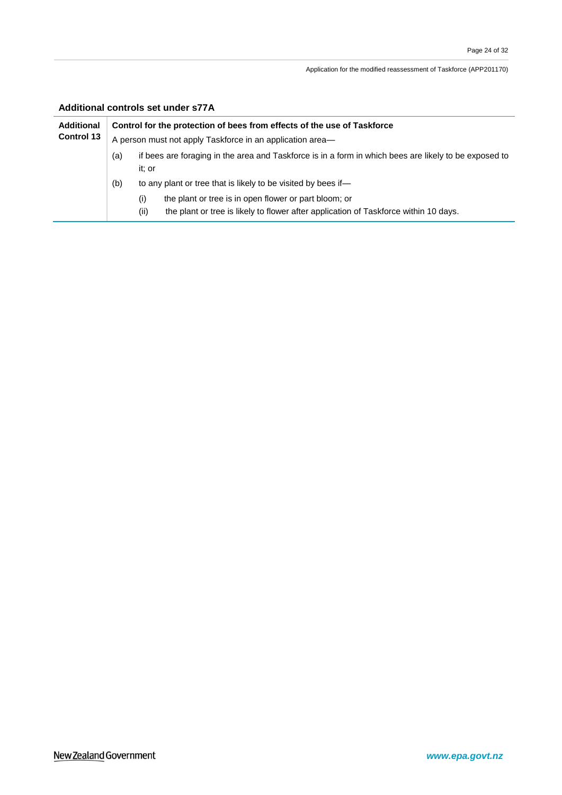### **Additional controls set under s77A**

| <b>Additional</b> | Control for the protection of bees from effects of the use of Taskforce<br>A person must not apply Taskforce in an application area— |                                                                                                                                                                                                                               |  |
|-------------------|--------------------------------------------------------------------------------------------------------------------------------------|-------------------------------------------------------------------------------------------------------------------------------------------------------------------------------------------------------------------------------|--|
| <b>Control 13</b> |                                                                                                                                      |                                                                                                                                                                                                                               |  |
|                   | (a)                                                                                                                                  | if bees are foraging in the area and Taskforce is in a form in which bees are likely to be exposed to<br>it: or                                                                                                               |  |
|                   | (b)                                                                                                                                  | to any plant or tree that is likely to be visited by bees if—<br>the plant or tree is in open flower or part bloom; or<br>(i)<br>(ii)<br>the plant or tree is likely to flower after application of Taskforce within 10 days. |  |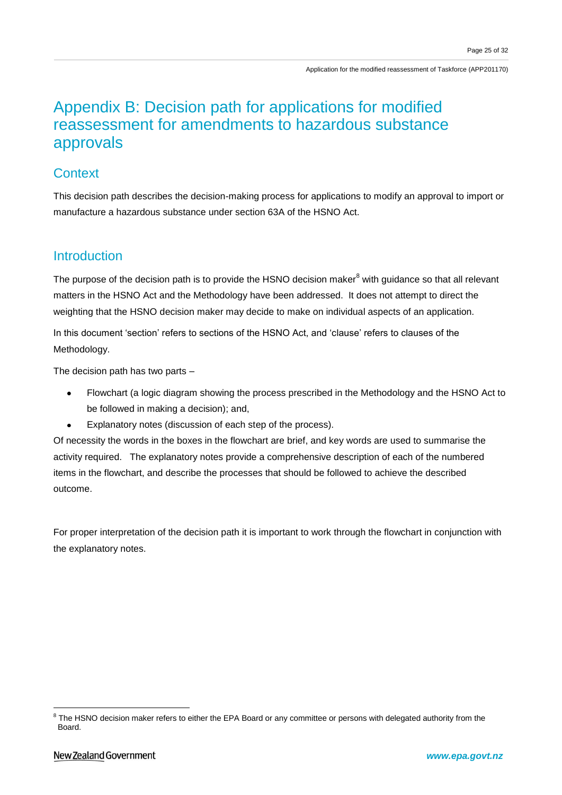## Appendix B: Decision path for applications for modified reassessment for amendments to hazardous substance approvals

### **Context**

This decision path describes the decision-making process for applications to modify an approval to import or manufacture a hazardous substance under section 63A of the HSNO Act.

## **Introduction**

The purpose of the decision path is to provide the HSNO decision maker<sup>8</sup> with guidance so that all relevant matters in the HSNO Act and the Methodology have been addressed. It does not attempt to direct the weighting that the HSNO decision maker may decide to make on individual aspects of an application.

In this document 'section' refers to sections of the HSNO Act, and 'clause' refers to clauses of the Methodology.

The decision path has two parts –

- Flowchart (a logic diagram showing the process prescribed in the Methodology and the HSNO Act to be followed in making a decision); and,
- Explanatory notes (discussion of each step of the process).

Of necessity the words in the boxes in the flowchart are brief, and key words are used to summarise the activity required. The explanatory notes provide a comprehensive description of each of the numbered items in the flowchart, and describe the processes that should be followed to achieve the described outcome.

For proper interpretation of the decision path it is important to work through the flowchart in conjunction with the explanatory notes.

 8 The HSNO decision maker refers to either the EPA Board or any committee or persons with delegated authority from the Board.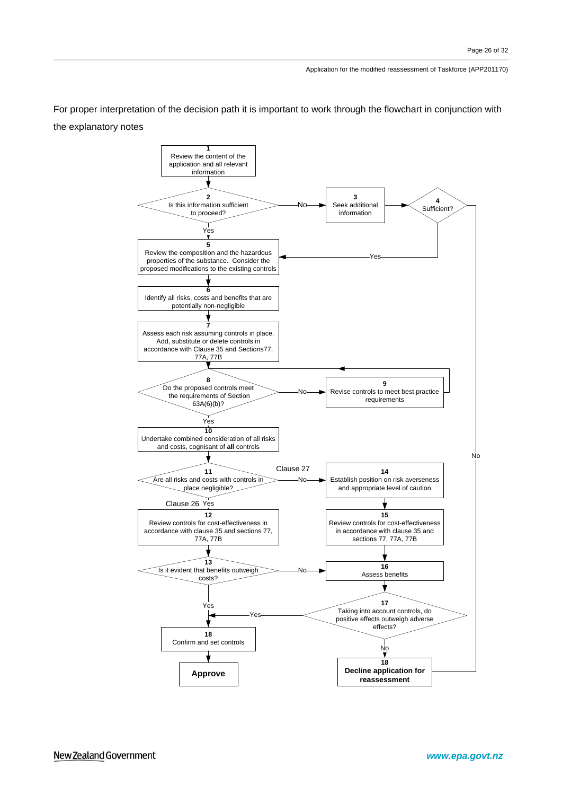For proper interpretation of the decision path it is important to work through the flowchart in conjunction with the explanatory notes

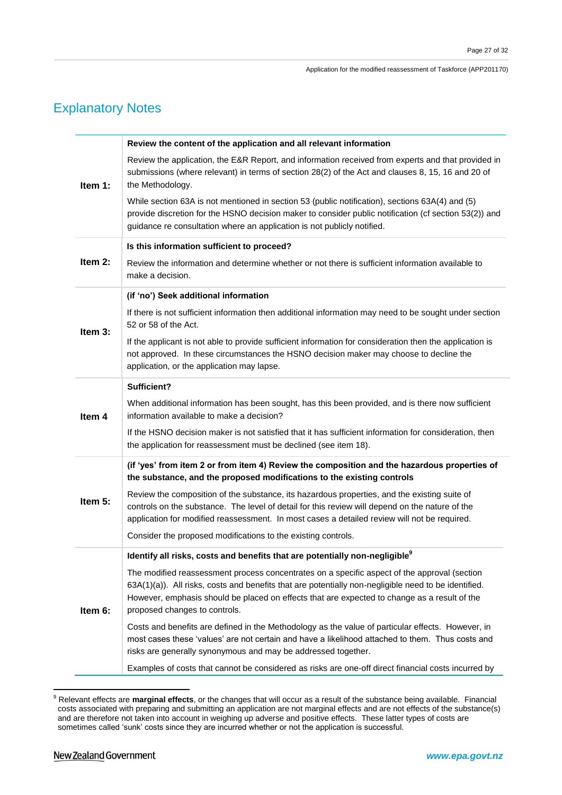## Explanatory Notes

|         | Review the content of the application and all relevant information                                                                                                                                                                                                                                                                    |
|---------|---------------------------------------------------------------------------------------------------------------------------------------------------------------------------------------------------------------------------------------------------------------------------------------------------------------------------------------|
| Item 1: | Review the application, the E&R Report, and information received from experts and that provided in<br>submissions (where relevant) in terms of section 28(2) of the Act and clauses 8, 15, 16 and 20 of<br>the Methodology.                                                                                                           |
|         | While section 63A is not mentioned in section 53 (public notification), sections 63A(4) and (5)<br>provide discretion for the HSNO decision maker to consider public notification (cf section 53(2)) and<br>guidance re consultation where an application is not publicly notified.                                                   |
|         | Is this information sufficient to proceed?                                                                                                                                                                                                                                                                                            |
| Item 2: | Review the information and determine whether or not there is sufficient information available to<br>make a decision.                                                                                                                                                                                                                  |
|         | (if 'no') Seek additional information                                                                                                                                                                                                                                                                                                 |
| Item 3: | If there is not sufficient information then additional information may need to be sought under section<br>52 or 58 of the Act.                                                                                                                                                                                                        |
|         | If the applicant is not able to provide sufficient information for consideration then the application is<br>not approved. In these circumstances the HSNO decision maker may choose to decline the<br>application, or the application may lapse.                                                                                      |
|         | Sufficient?                                                                                                                                                                                                                                                                                                                           |
| Item 4  | When additional information has been sought, has this been provided, and is there now sufficient<br>information available to make a decision?                                                                                                                                                                                         |
|         | If the HSNO decision maker is not satisfied that it has sufficient information for consideration, then<br>the application for reassessment must be declined (see item 18).                                                                                                                                                            |
|         | (if 'yes' from item 2 or from item 4) Review the composition and the hazardous properties of<br>the substance, and the proposed modifications to the existing controls                                                                                                                                                                |
| Item 5: | Review the composition of the substance, its hazardous properties, and the existing suite of<br>controls on the substance. The level of detail for this review will depend on the nature of the<br>application for modified reassessment. In most cases a detailed review will not be required.                                       |
|         | Consider the proposed modifications to the existing controls.                                                                                                                                                                                                                                                                         |
|         | Identify all risks, costs and benefits that are potentially non-negligible <sup>9</sup>                                                                                                                                                                                                                                               |
| Item 6: | The modified reassessment process concentrates on a specific aspect of the approval (section<br>63A(1)(a)). All risks, costs and benefits that are potentially non-negligible need to be identified.<br>However, emphasis should be placed on effects that are expected to change as a result of the<br>proposed changes to controls. |
|         | Costs and benefits are defined in the Methodology as the value of particular effects. However, in<br>most cases these 'values' are not certain and have a likelihood attached to them. Thus costs and<br>risks are generally synonymous and may be addressed together.                                                                |
|         | Examples of costs that cannot be considered as risks are one-off direct financial costs incurred by                                                                                                                                                                                                                                   |

<sup>9</sup> Relevant effects are **marginal effects**, or the changes that will occur as a result of the substance being available. Financial costs associated with preparing and submitting an application are not marginal effects and are not effects of the substance(s) and are therefore not taken into account in weighing up adverse and positive effects. These latter types of costs are sometimes called 'sunk' costs since they are incurred whether or not the application is successful.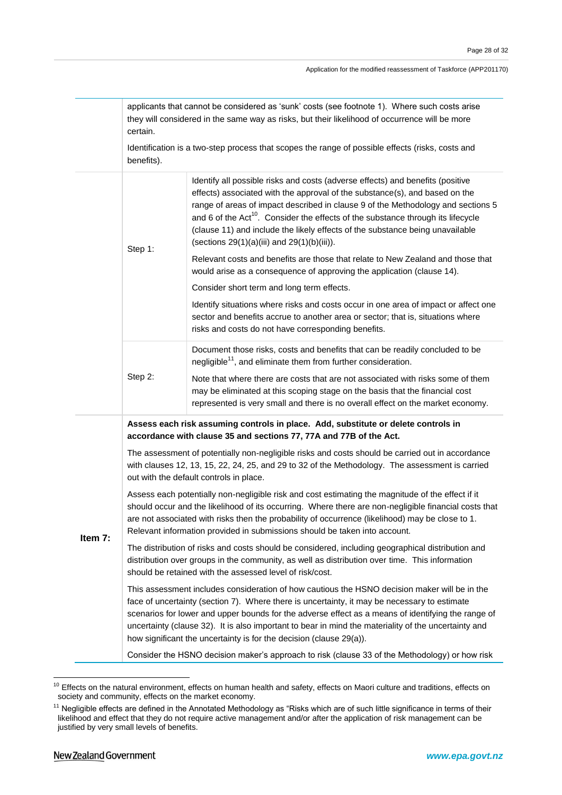| applicants that cannot be considered as 'sunk' costs (see footnote 1). Where such costs arise  |
|------------------------------------------------------------------------------------------------|
| they will considered in the same way as risks, but their likelihood of occurrence will be more |
| certain.                                                                                       |

Identification is a two-step process that scopes the range of possible effects (risks, costs and benefits).

|         |                                                                                                                                                                                                                                                                 | Identify all possible risks and costs (adverse effects) and benefits (positive<br>effects) associated with the approval of the substance(s), and based on the<br>range of areas of impact described in clause 9 of the Methodology and sections 5<br>and 6 of the Act <sup>10</sup> . Consider the effects of the substance through its lifecycle<br>(clause 11) and include the likely effects of the substance being unavailable<br>(sections $29(1)(a)(iii)$ and $29(1)(b)(iii)$ ). |  |
|---------|-----------------------------------------------------------------------------------------------------------------------------------------------------------------------------------------------------------------------------------------------------------------|----------------------------------------------------------------------------------------------------------------------------------------------------------------------------------------------------------------------------------------------------------------------------------------------------------------------------------------------------------------------------------------------------------------------------------------------------------------------------------------|--|
|         | Step 1:                                                                                                                                                                                                                                                         | Relevant costs and benefits are those that relate to New Zealand and those that<br>would arise as a consequence of approving the application (clause 14).                                                                                                                                                                                                                                                                                                                              |  |
|         |                                                                                                                                                                                                                                                                 | Consider short term and long term effects.                                                                                                                                                                                                                                                                                                                                                                                                                                             |  |
|         |                                                                                                                                                                                                                                                                 | Identify situations where risks and costs occur in one area of impact or affect one<br>sector and benefits accrue to another area or sector; that is, situations where<br>risks and costs do not have corresponding benefits.                                                                                                                                                                                                                                                          |  |
|         |                                                                                                                                                                                                                                                                 | Document those risks, costs and benefits that can be readily concluded to be<br>negligible <sup>11</sup> , and eliminate them from further consideration.                                                                                                                                                                                                                                                                                                                              |  |
|         | Step 2:                                                                                                                                                                                                                                                         | Note that where there are costs that are not associated with risks some of them<br>may be eliminated at this scoping stage on the basis that the financial cost<br>represented is very small and there is no overall effect on the market economy.                                                                                                                                                                                                                                     |  |
|         | Assess each risk assuming controls in place. Add, substitute or delete controls in<br>accordance with clause 35 and sections 77, 77A and 77B of the Act.                                                                                                        |                                                                                                                                                                                                                                                                                                                                                                                                                                                                                        |  |
|         |                                                                                                                                                                                                                                                                 | The assessment of potentially non-negligible risks and costs should be carried out in accordance<br>with clauses 12, 13, 15, 22, 24, 25, and 29 to 32 of the Methodology. The assessment is carried<br>out with the default controls in place.                                                                                                                                                                                                                                         |  |
| Item 7: |                                                                                                                                                                                                                                                                 | Assess each potentially non-negligible risk and cost estimating the magnitude of the effect if it<br>should occur and the likelihood of its occurring. Where there are non-negligible financial costs that<br>are not associated with risks then the probability of occurrence (likelihood) may be close to 1.<br>Relevant information provided in submissions should be taken into account.                                                                                           |  |
|         | The distribution of risks and costs should be considered, including geographical distribution and<br>distribution over groups in the community, as well as distribution over time. This information<br>should be retained with the assessed level of risk/cost. |                                                                                                                                                                                                                                                                                                                                                                                                                                                                                        |  |
|         |                                                                                                                                                                                                                                                                 | This assessment includes consideration of how cautious the HSNO decision maker will be in the<br>face of uncertainty (section 7). Where there is uncertainty, it may be necessary to estimate<br>scenarios for lower and upper bounds for the adverse effect as a means of identifying the range of<br>uncertainty (clause 32). It is also important to bear in mind the materiality of the uncertainty and<br>how significant the uncertainty is for the decision (clause 29(a)).     |  |
|         |                                                                                                                                                                                                                                                                 | Consider the HSNO decision maker's approach to risk (clause 33 of the Methodology) or how risk                                                                                                                                                                                                                                                                                                                                                                                         |  |
|         |                                                                                                                                                                                                                                                                 |                                                                                                                                                                                                                                                                                                                                                                                                                                                                                        |  |

 $10$  Effects on the natural environment, effects on human health and safety, effects on Maori culture and traditions, effects on society and community, effects on the market economy.

<sup>&</sup>lt;sup>11</sup> Negligible effects are defined in the Annotated Methodology as "Risks which are of such little significance in terms of their likelihood and effect that they do not require active management and/or after the application of risk management can be justified by very small levels of benefits.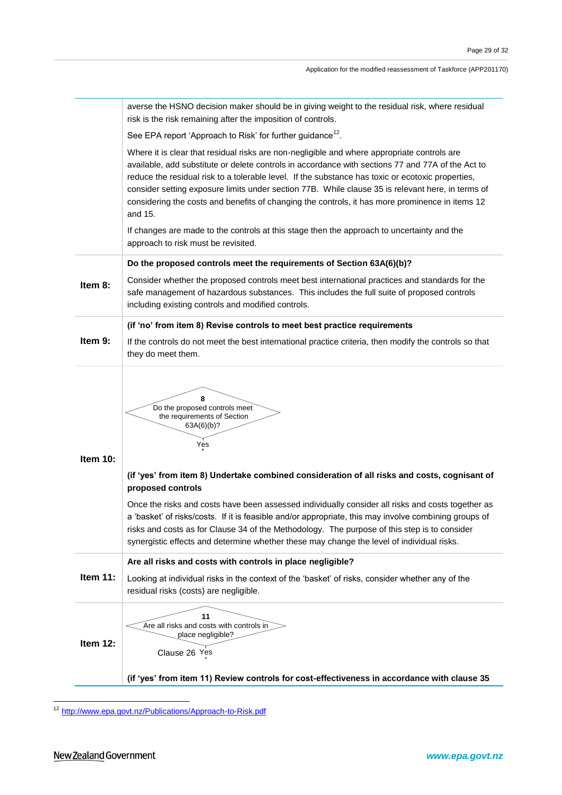|          | averse the HSNO decision maker should be in giving weight to the residual risk, where residual<br>risk is the risk remaining after the imposition of controls.                                                                                                                                                                                                                                                                                                                                                                                                                                                         |
|----------|------------------------------------------------------------------------------------------------------------------------------------------------------------------------------------------------------------------------------------------------------------------------------------------------------------------------------------------------------------------------------------------------------------------------------------------------------------------------------------------------------------------------------------------------------------------------------------------------------------------------|
|          | See EPA report 'Approach to Risk' for further guidance <sup>12</sup> .                                                                                                                                                                                                                                                                                                                                                                                                                                                                                                                                                 |
|          | Where it is clear that residual risks are non-negligible and where appropriate controls are<br>available, add substitute or delete controls in accordance with sections 77 and 77A of the Act to<br>reduce the residual risk to a tolerable level. If the substance has toxic or ecotoxic properties,<br>consider setting exposure limits under section 77B. While clause 35 is relevant here, in terms of<br>considering the costs and benefits of changing the controls, it has more prominence in items 12<br>and 15.                                                                                               |
|          | If changes are made to the controls at this stage then the approach to uncertainty and the<br>approach to risk must be revisited.                                                                                                                                                                                                                                                                                                                                                                                                                                                                                      |
|          | Do the proposed controls meet the requirements of Section 63A(6)(b)?                                                                                                                                                                                                                                                                                                                                                                                                                                                                                                                                                   |
| Item 8:  | Consider whether the proposed controls meet best international practices and standards for the<br>safe management of hazardous substances. This includes the full suite of proposed controls<br>including existing controls and modified controls.                                                                                                                                                                                                                                                                                                                                                                     |
|          | (if 'no' from item 8) Revise controls to meet best practice requirements                                                                                                                                                                                                                                                                                                                                                                                                                                                                                                                                               |
| Item 9:  | If the controls do not meet the best international practice criteria, then modify the controls so that<br>they do meet them.                                                                                                                                                                                                                                                                                                                                                                                                                                                                                           |
| Item 10: | 8<br>Do the proposed controls meet<br>the requirements of Section<br>63A(6)(b)?<br>Yes<br>(if 'yes' from item 8) Undertake combined consideration of all risks and costs, cognisant of<br>proposed controls<br>Once the risks and costs have been assessed individually consider all risks and costs together as<br>a 'basket' of risks/costs. If it is feasible and/or appropriate, this may involve combining groups of<br>risks and costs as for Clause 34 of the Methodology. The purpose of this step is to consider<br>synergistic effects and determine whether these may change the level of individual risks. |
|          |                                                                                                                                                                                                                                                                                                                                                                                                                                                                                                                                                                                                                        |
| Item 11: | Are all risks and costs with controls in place negligible?<br>Looking at individual risks in the context of the 'basket' of risks, consider whether any of the<br>residual risks (costs) are negligible.                                                                                                                                                                                                                                                                                                                                                                                                               |
| Item 12: | 11<br>Are all risks and costs with controls in<br>place negligible?<br>Clause 26 Yes<br>(if 'yes' from item 11) Review controls for cost-effectiveness in accordance with clause 35                                                                                                                                                                                                                                                                                                                                                                                                                                    |

<sup>&</sup>lt;sup>12</sup> <http://www.epa.govt.nz/Publications/Approach-to-Risk.pdf>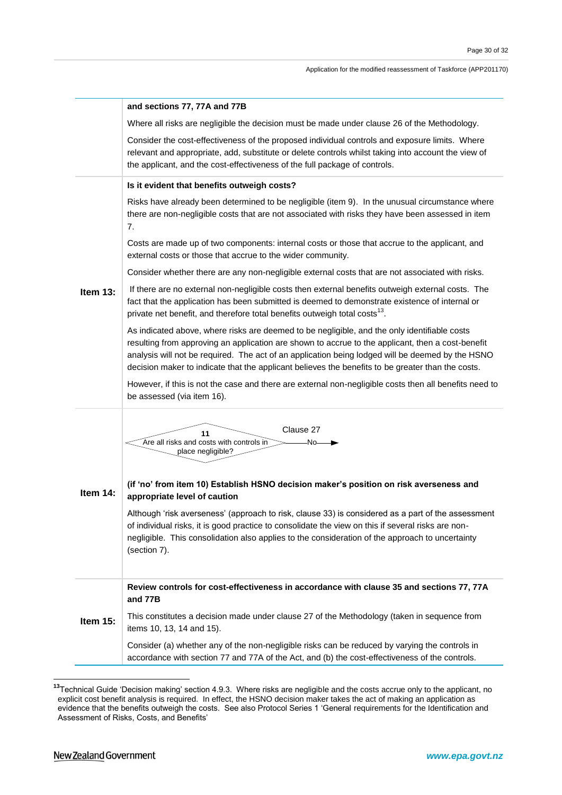|            | and sections 77, 77A and 77B                                                                                                                                                                                                                                                                                                                                                                                                                                                                                                      |
|------------|-----------------------------------------------------------------------------------------------------------------------------------------------------------------------------------------------------------------------------------------------------------------------------------------------------------------------------------------------------------------------------------------------------------------------------------------------------------------------------------------------------------------------------------|
|            | Where all risks are negligible the decision must be made under clause 26 of the Methodology.                                                                                                                                                                                                                                                                                                                                                                                                                                      |
|            | Consider the cost-effectiveness of the proposed individual controls and exposure limits. Where<br>relevant and appropriate, add, substitute or delete controls whilst taking into account the view of<br>the applicant, and the cost-effectiveness of the full package of controls.                                                                                                                                                                                                                                               |
|            | Is it evident that benefits outweigh costs?                                                                                                                                                                                                                                                                                                                                                                                                                                                                                       |
|            | Risks have already been determined to be negligible (item 9). In the unusual circumstance where<br>there are non-negligible costs that are not associated with risks they have been assessed in item<br>7.                                                                                                                                                                                                                                                                                                                        |
|            | Costs are made up of two components: internal costs or those that accrue to the applicant, and<br>external costs or those that accrue to the wider community.                                                                                                                                                                                                                                                                                                                                                                     |
|            | Consider whether there are any non-negligible external costs that are not associated with risks.                                                                                                                                                                                                                                                                                                                                                                                                                                  |
| Item $13:$ | If there are no external non-negligible costs then external benefits outweigh external costs. The<br>fact that the application has been submitted is deemed to demonstrate existence of internal or<br>private net benefit, and therefore total benefits outweigh total costs <sup>13</sup> .                                                                                                                                                                                                                                     |
|            | As indicated above, where risks are deemed to be negligible, and the only identifiable costs<br>resulting from approving an application are shown to accrue to the applicant, then a cost-benefit<br>analysis will not be required. The act of an application being lodged will be deemed by the HSNO<br>decision maker to indicate that the applicant believes the benefits to be greater than the costs.                                                                                                                        |
|            | However, if this is not the case and there are external non-negligible costs then all benefits need to<br>be assessed (via item 16).                                                                                                                                                                                                                                                                                                                                                                                              |
| Item 14:   | Clause 27<br>11<br>Are all risks and costs with controls in<br>-No-<br>place negligible?<br>(if 'no' from item 10) Establish HSNO decision maker's position on risk averseness and<br>appropriate level of caution<br>Although 'risk averseness' (approach to risk, clause 33) is considered as a part of the assessment<br>of individual risks, it is good practice to consolidate the view on this if several risks are non-<br>negligible. This consolidation also applies to the consideration of the approach to uncertainty |
|            | (section 7).                                                                                                                                                                                                                                                                                                                                                                                                                                                                                                                      |
|            | Review controls for cost-effectiveness in accordance with clause 35 and sections 77, 77A<br>and 77B                                                                                                                                                                                                                                                                                                                                                                                                                               |
| Item 15:   | This constitutes a decision made under clause 27 of the Methodology (taken in sequence from<br>items 10, 13, 14 and 15).                                                                                                                                                                                                                                                                                                                                                                                                          |
|            | Consider (a) whether any of the non-negligible risks can be reduced by varying the controls in<br>accordance with section 77 and 77A of the Act, and (b) the cost-effectiveness of the controls.                                                                                                                                                                                                                                                                                                                                  |

<sup>&</sup>lt;sup>13</sup>Technical Guide 'Decision making' section 4.9.3. Where risks are negligible and the costs accrue only to the applicant, no explicit cost benefit analysis is required. In effect, the HSNO decision maker takes the act of making an application as evidence that the benefits outweigh the costs. See also Protocol Series 1 ‗General requirements for the Identification and Assessment of Risks, Costs, and Benefits'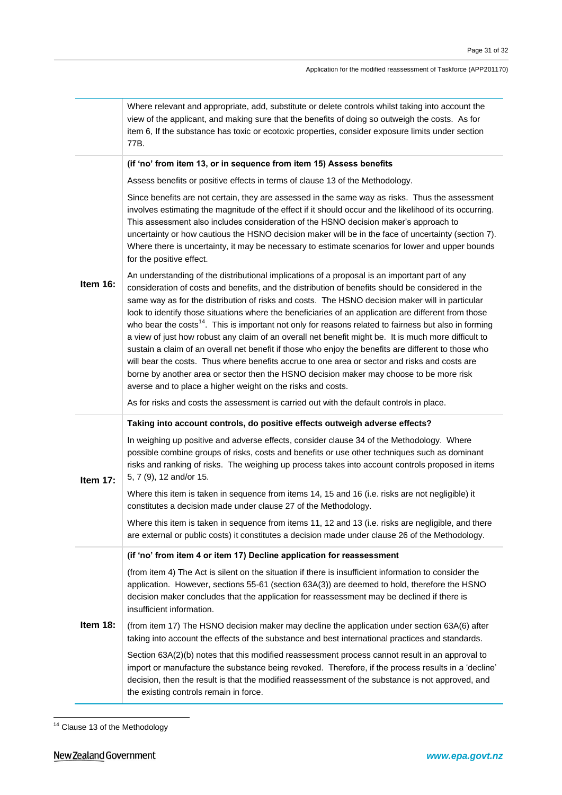|          | Where relevant and appropriate, add, substitute or delete controls whilst taking into account the<br>view of the applicant, and making sure that the benefits of doing so outweigh the costs. As for<br>item 6, If the substance has toxic or ecotoxic properties, consider exposure limits under section<br>77B.                                                                                                                                                                                                                                                                                                                                                                                                                                                                                                                                                                                                                                                                                             |
|----------|---------------------------------------------------------------------------------------------------------------------------------------------------------------------------------------------------------------------------------------------------------------------------------------------------------------------------------------------------------------------------------------------------------------------------------------------------------------------------------------------------------------------------------------------------------------------------------------------------------------------------------------------------------------------------------------------------------------------------------------------------------------------------------------------------------------------------------------------------------------------------------------------------------------------------------------------------------------------------------------------------------------|
|          | (if 'no' from item 13, or in sequence from item 15) Assess benefits                                                                                                                                                                                                                                                                                                                                                                                                                                                                                                                                                                                                                                                                                                                                                                                                                                                                                                                                           |
| Item 16: | Assess benefits or positive effects in terms of clause 13 of the Methodology.                                                                                                                                                                                                                                                                                                                                                                                                                                                                                                                                                                                                                                                                                                                                                                                                                                                                                                                                 |
|          | Since benefits are not certain, they are assessed in the same way as risks. Thus the assessment<br>involves estimating the magnitude of the effect if it should occur and the likelihood of its occurring.<br>This assessment also includes consideration of the HSNO decision maker's approach to<br>uncertainty or how cautious the HSNO decision maker will be in the face of uncertainty (section 7).<br>Where there is uncertainty, it may be necessary to estimate scenarios for lower and upper bounds<br>for the positive effect.                                                                                                                                                                                                                                                                                                                                                                                                                                                                     |
|          | An understanding of the distributional implications of a proposal is an important part of any<br>consideration of costs and benefits, and the distribution of benefits should be considered in the<br>same way as for the distribution of risks and costs. The HSNO decision maker will in particular<br>look to identify those situations where the beneficiaries of an application are different from those<br>who bear the costs <sup>14</sup> . This is important not only for reasons related to fairness but also in forming<br>a view of just how robust any claim of an overall net benefit might be. It is much more difficult to<br>sustain a claim of an overall net benefit if those who enjoy the benefits are different to those who<br>will bear the costs. Thus where benefits accrue to one area or sector and risks and costs are<br>borne by another area or sector then the HSNO decision maker may choose to be more risk<br>averse and to place a higher weight on the risks and costs. |
|          | As for risks and costs the assessment is carried out with the default controls in place.                                                                                                                                                                                                                                                                                                                                                                                                                                                                                                                                                                                                                                                                                                                                                                                                                                                                                                                      |
|          | Taking into account controls, do positive effects outweigh adverse effects?                                                                                                                                                                                                                                                                                                                                                                                                                                                                                                                                                                                                                                                                                                                                                                                                                                                                                                                                   |
| Item 17: | In weighing up positive and adverse effects, consider clause 34 of the Methodology. Where<br>possible combine groups of risks, costs and benefits or use other techniques such as dominant<br>risks and ranking of risks. The weighing up process takes into account controls proposed in items<br>5, 7 (9), 12 and/or 15.                                                                                                                                                                                                                                                                                                                                                                                                                                                                                                                                                                                                                                                                                    |
|          | Where this item is taken in sequence from items 14, 15 and 16 (i.e. risks are not negligible) it<br>constitutes a decision made under clause 27 of the Methodology.                                                                                                                                                                                                                                                                                                                                                                                                                                                                                                                                                                                                                                                                                                                                                                                                                                           |
|          | Where this item is taken in sequence from items 11, 12 and 13 (i.e. risks are negligible, and there<br>are external or public costs) it constitutes a decision made under clause 26 of the Methodology.                                                                                                                                                                                                                                                                                                                                                                                                                                                                                                                                                                                                                                                                                                                                                                                                       |
|          | (if 'no' from item 4 or item 17) Decline application for reassessment                                                                                                                                                                                                                                                                                                                                                                                                                                                                                                                                                                                                                                                                                                                                                                                                                                                                                                                                         |
|          | (from item 4) The Act is silent on the situation if there is insufficient information to consider the<br>application. However, sections 55-61 (section 63A(3)) are deemed to hold, therefore the HSNO<br>decision maker concludes that the application for reassessment may be declined if there is<br>insufficient information.                                                                                                                                                                                                                                                                                                                                                                                                                                                                                                                                                                                                                                                                              |
| Item 18: | (from item 17) The HSNO decision maker may decline the application under section 63A(6) after<br>taking into account the effects of the substance and best international practices and standards.                                                                                                                                                                                                                                                                                                                                                                                                                                                                                                                                                                                                                                                                                                                                                                                                             |
|          | Section 63A(2)(b) notes that this modified reassessment process cannot result in an approval to<br>import or manufacture the substance being revoked. Therefore, if the process results in a 'decline'<br>decision, then the result is that the modified reassessment of the substance is not approved, and<br>the existing controls remain in force.                                                                                                                                                                                                                                                                                                                                                                                                                                                                                                                                                                                                                                                         |

<sup>&</sup>lt;u>.</u> <sup>14</sup> Clause 13 of the Methodology